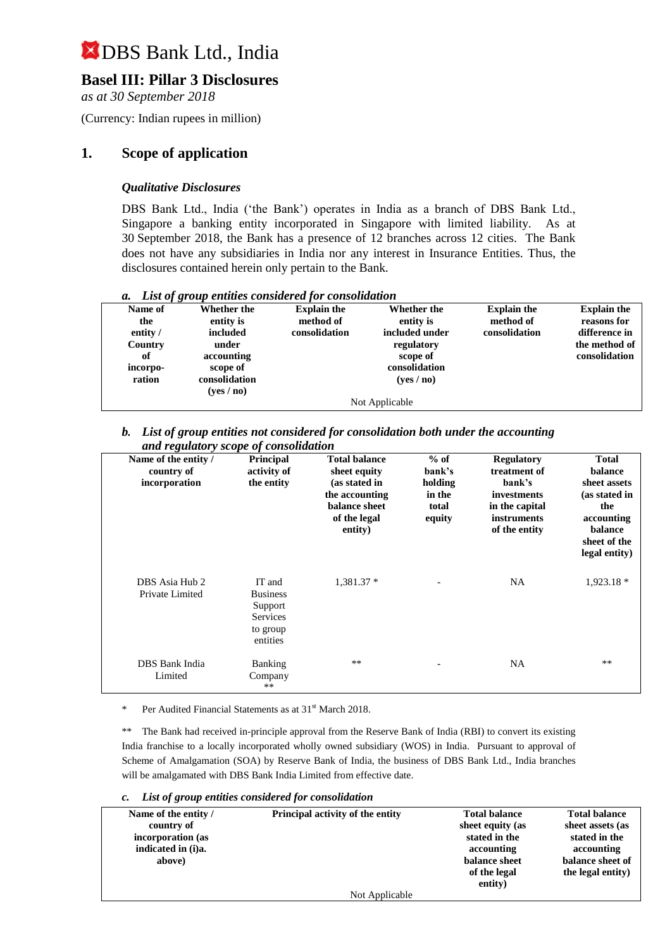## **Basel III: Pillar 3 Disclosures**

*as at 30 September 2018*

(Currency: Indian rupees in million)

### **1. Scope of application**

### *Qualitative Disclosures*

DBS Bank Ltd., India ('the Bank') operates in India as a branch of DBS Bank Ltd., Singapore a banking entity incorporated in Singapore with limited liability. As at 30 September 2018, the Bank has a presence of 12 branches across 12 cities. The Bank does not have any subsidiaries in India nor any interest in Insurance Entities. Thus, the disclosures contained herein only pertain to the Bank.

|  |  |  |  |  | a. List of group entities considered for consolidation |
|--|--|--|--|--|--------------------------------------------------------|
|--|--|--|--|--|--------------------------------------------------------|

| Name of  | Whether the   | <b>Explain the</b> | <b>Whether the</b>         | <b>Explain the</b> | <b>Explain the</b> |
|----------|---------------|--------------------|----------------------------|--------------------|--------------------|
| the      | entity is     | method of          | entity is                  | method of          | reasons for        |
| entity / | included      | consolidation      | included under             | consolidation      | difference in      |
| Country  | under         |                    | regulatory                 |                    | the method of      |
| of       | accounting    |                    | scope of                   |                    | consolidation      |
| incorpo- | scope of      |                    | consolidation              |                    |                    |
| ration   | consolidation |                    | ( <b>ves</b> / <b>no</b> ) |                    |                    |
|          | (yes / no)    |                    |                            |                    |                    |
|          |               |                    | Not Applicable             |                    |                    |

#### *b. List of group entities not considered for consolidation both under the accounting and regulatory scope of consolidation*

| Name of the entity /<br>country of<br>incorporation | <b>Principal</b><br>activity of<br>the entity                            | <b>Total balance</b><br>sheet equity<br>(as stated in<br>the accounting<br>balance sheet<br>of the legal<br>entity) | $%$ of<br>bank's<br>holding<br>in the<br>total<br>equity | <b>Regulatory</b><br>treatment of<br>bank's<br>investments<br>in the capital<br><i>instruments</i><br>of the entity | <b>Total</b><br>balance<br>sheet assets<br>(as stated in<br>the<br>accounting<br>balance<br>sheet of the<br>legal entity) |
|-----------------------------------------------------|--------------------------------------------------------------------------|---------------------------------------------------------------------------------------------------------------------|----------------------------------------------------------|---------------------------------------------------------------------------------------------------------------------|---------------------------------------------------------------------------------------------------------------------------|
| DBS Asia Hub 2<br>Private Limited                   | IT and<br><b>Business</b><br>Support<br>Services<br>to group<br>entities | $1,381.37*$                                                                                                         |                                                          | <b>NA</b>                                                                                                           | $1,923.18*$                                                                                                               |
| DBS Bank India<br>Limited                           | Banking<br>Company<br>$**$                                               | $***$                                                                                                               |                                                          | <b>NA</b>                                                                                                           | $**$                                                                                                                      |

Per Audited Financial Statements as at 31<sup>st</sup> March 2018.

\*\* The Bank had received in-principle approval from the Reserve Bank of India (RBI) to convert its existing India franchise to a locally incorporated wholly owned subsidiary (WOS) in India. Pursuant to approval of Scheme of Amalgamation (SOA) by Reserve Bank of India, the business of DBS Bank Ltd., India branches will be amalgamated with DBS Bank India Limited from effective date.

#### *c. List of group entities considered for consolidation*

| Name of the entity / | Principal activity of the entity | <b>Total balance</b> | <b>Total balance</b> |
|----------------------|----------------------------------|----------------------|----------------------|
| country of           |                                  | sheet equity (as     | sheet assets (as     |
| incorporation (as    |                                  | stated in the        | stated in the        |
| indicated in (i)a.   |                                  | accounting           | accounting           |
| above)               |                                  | balance sheet        | balance sheet of     |
|                      |                                  | of the legal         | the legal entity)    |
|                      |                                  | entity)              |                      |
|                      | Not Applicable                   |                      |                      |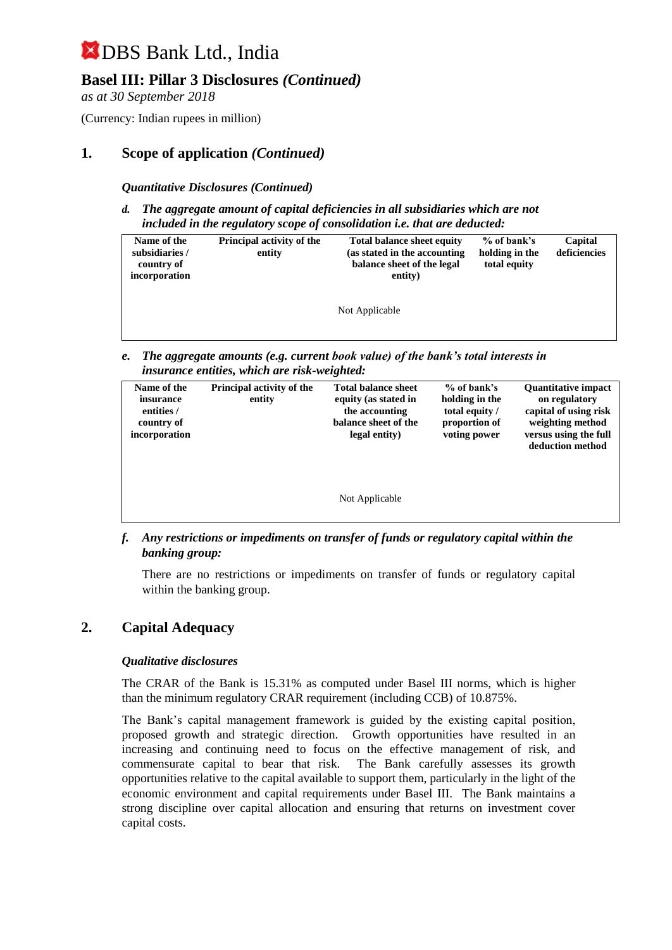## **Basel III: Pillar 3 Disclosures** *(Continued)*

*as at 30 September 2018*

(Currency: Indian rupees in million)

### **1. Scope of application** *(Continued)*

*Quantitative Disclosures (Continued)*

*d. The aggregate amount of capital deficiencies in all subsidiaries which are not included in the regulatory scope of consolidation i.e. that are deducted:*

| Principal activity of the<br>Name of the<br>subsidiaries /<br>entity<br>country of<br>incorporation |  | <b>Total balance sheet equity</b><br>(as stated in the accounting<br>balance sheet of the legal<br>entity) | $%$ of bank's<br>holding in the<br>total equity | Capital<br>deficiencies |
|-----------------------------------------------------------------------------------------------------|--|------------------------------------------------------------------------------------------------------------|-------------------------------------------------|-------------------------|
|                                                                                                     |  | Not Applicable                                                                                             |                                                 |                         |

*e. The aggregate amounts (e.g. current book value) of the bank's total interests in insurance entities, which are risk-weighted:*

| Name of the<br>insurance<br>entities /<br>country of<br>incorporation | Principal activity of the<br>entity | <b>Total balance sheet</b><br>equity (as stated in<br>the accounting<br>balance sheet of the<br>legal entity) | % of bank's<br>holding in the<br>total equity /<br>proportion of<br>voting power | <b>Ouantitative impact</b><br>on regulatory<br>capital of using risk<br>weighting method<br>versus using the full<br>deduction method |
|-----------------------------------------------------------------------|-------------------------------------|---------------------------------------------------------------------------------------------------------------|----------------------------------------------------------------------------------|---------------------------------------------------------------------------------------------------------------------------------------|
|                                                                       |                                     | Not Applicable                                                                                                |                                                                                  |                                                                                                                                       |

*f. Any restrictions or impediments on transfer of funds or regulatory capital within the banking group:*

There are no restrictions or impediments on transfer of funds or regulatory capital within the banking group.

### **2. Capital Adequacy**

#### *Qualitative disclosures*

The CRAR of the Bank is 15.31% as computed under Basel III norms, which is higher than the minimum regulatory CRAR requirement (including CCB) of 10.875%.

The Bank's capital management framework is guided by the existing capital position, proposed growth and strategic direction. Growth opportunities have resulted in an increasing and continuing need to focus on the effective management of risk, and commensurate capital to bear that risk. The Bank carefully assesses its growth opportunities relative to the capital available to support them, particularly in the light of the economic environment and capital requirements under Basel III. The Bank maintains a strong discipline over capital allocation and ensuring that returns on investment cover capital costs.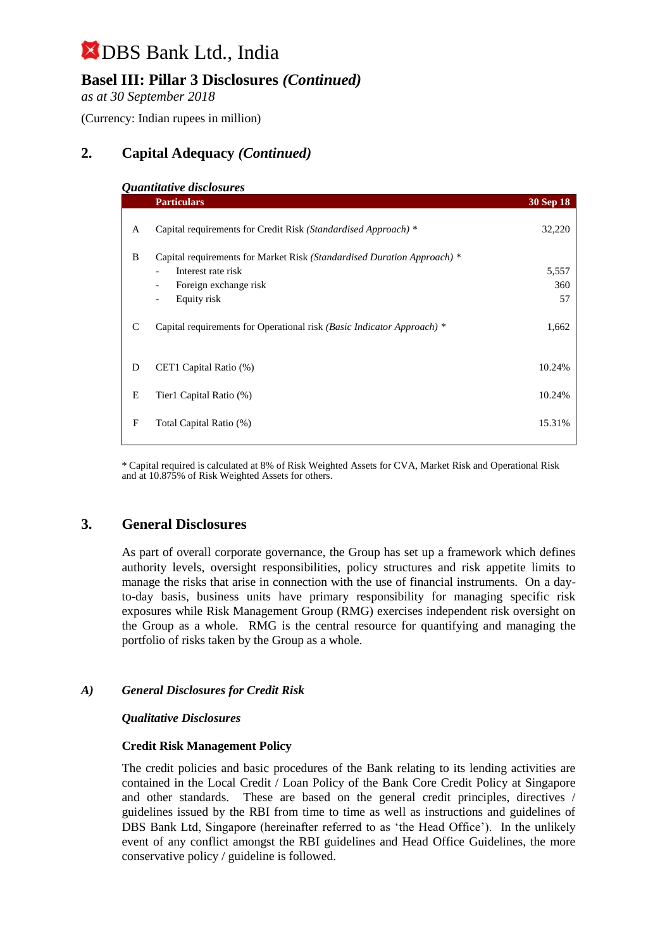## **Basel III: Pillar 3 Disclosures** *(Continued)*

*as at 30 September 2018*

(Currency: Indian rupees in million)

## **2. Capital Adequacy** *(Continued)*

|   | Quantitative disclosures                                                |                  |
|---|-------------------------------------------------------------------------|------------------|
|   | <b>Particulars</b>                                                      | <b>30 Sep 18</b> |
|   |                                                                         |                  |
| A | Capital requirements for Credit Risk (Standardised Approach) *          | 32,220           |
| B | Capital requirements for Market Risk (Standardised Duration Approach) * |                  |
|   | Interest rate risk<br>$\overline{\phantom{a}}$                          | 5,557            |
|   | Foreign exchange risk<br>$\overline{\phantom{a}}$                       | 360              |
|   | Equity risk<br>$\overline{\phantom{a}}$                                 | 57               |
| C | Capital requirements for Operational risk (Basic Indicator Approach) *  | 1,662            |
| D | CET1 Capital Ratio (%)                                                  | 10.24%           |
| E | Tier1 Capital Ratio (%)                                                 | 10.24%           |
| F | Total Capital Ratio (%)                                                 | 15.31%           |
|   |                                                                         |                  |

\* Capital required is calculated at 8% of Risk Weighted Assets for CVA, Market Risk and Operational Risk and at 10.875% of Risk Weighted Assets for others.

### **3. General Disclosures**

As part of overall corporate governance, the Group has set up a framework which defines authority levels, oversight responsibilities, policy structures and risk appetite limits to manage the risks that arise in connection with the use of financial instruments. On a dayto-day basis, business units have primary responsibility for managing specific risk exposures while Risk Management Group (RMG) exercises independent risk oversight on the Group as a whole. RMG is the central resource for quantifying and managing the portfolio of risks taken by the Group as a whole.

### *A) General Disclosures for Credit Risk*

#### *Qualitative Disclosures*

#### **Credit Risk Management Policy**

The credit policies and basic procedures of the Bank relating to its lending activities are contained in the Local Credit / Loan Policy of the Bank Core Credit Policy at Singapore and other standards. These are based on the general credit principles, directives / guidelines issued by the RBI from time to time as well as instructions and guidelines of DBS Bank Ltd, Singapore (hereinafter referred to as 'the Head Office'). In the unlikely event of any conflict amongst the RBI guidelines and Head Office Guidelines, the more conservative policy / guideline is followed.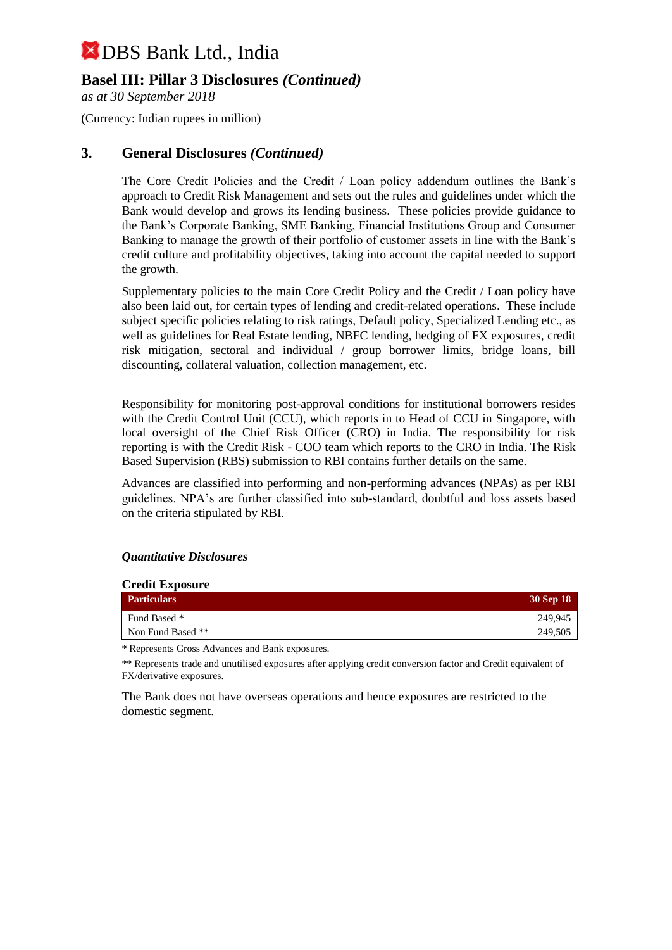### **Basel III: Pillar 3 Disclosures** *(Continued)*

*as at 30 September 2018*

(Currency: Indian rupees in million)

### **3. General Disclosures** *(Continued)*

The Core Credit Policies and the Credit / Loan policy addendum outlines the Bank's approach to Credit Risk Management and sets out the rules and guidelines under which the Bank would develop and grows its lending business. These policies provide guidance to the Bank's Corporate Banking, SME Banking, Financial Institutions Group and Consumer Banking to manage the growth of their portfolio of customer assets in line with the Bank's credit culture and profitability objectives, taking into account the capital needed to support the growth.

Supplementary policies to the main Core Credit Policy and the Credit / Loan policy have also been laid out, for certain types of lending and credit-related operations. These include subject specific policies relating to risk ratings, Default policy, Specialized Lending etc., as well as guidelines for Real Estate lending, NBFC lending, hedging of FX exposures, credit risk mitigation, sectoral and individual / group borrower limits, bridge loans, bill discounting, collateral valuation, collection management, etc.

Responsibility for monitoring post-approval conditions for institutional borrowers resides with the Credit Control Unit (CCU), which reports in to Head of CCU in Singapore, with local oversight of the Chief Risk Officer (CRO) in India. The responsibility for risk reporting is with the Credit Risk - COO team which reports to the CRO in India. The Risk Based Supervision (RBS) submission to RBI contains further details on the same.

Advances are classified into performing and non-performing advances (NPAs) as per RBI guidelines. NPA's are further classified into sub-standard, doubtful and loss assets based on the criteria stipulated by RBI.

#### *Quantitative Disclosures*

| <b>Credit Exposure</b> |           |  |  |  |  |
|------------------------|-----------|--|--|--|--|
| <b>Particulars</b>     | 30 Sep 18 |  |  |  |  |
| Fund Based *           | 249,945   |  |  |  |  |
| Non Fund Based **      | 249,505   |  |  |  |  |

\* Represents Gross Advances and Bank exposures.

\*\* Represents trade and unutilised exposures after applying credit conversion factor and Credit equivalent of FX/derivative exposures.

The Bank does not have overseas operations and hence exposures are restricted to the domestic segment.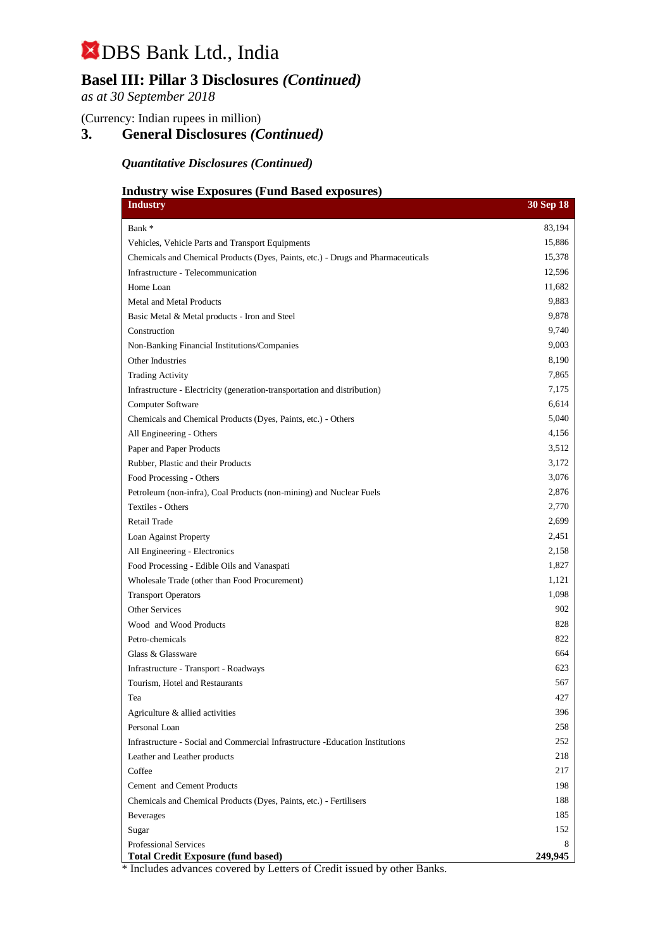## **Basel III: Pillar 3 Disclosures** *(Continued)*

*as at 30 September 2018*

(Currency: Indian rupees in million)

## **3. General Disclosures** *(Continued)*

### *Quantitative Disclosures (Continued)*

### **Industry wise Exposures (Fund Based exposures)**

| <b>Industry</b>                                                                                                     | <b>30 Sep 18</b> |
|---------------------------------------------------------------------------------------------------------------------|------------------|
| Bank *                                                                                                              | 83,194           |
| Vehicles, Vehicle Parts and Transport Equipments                                                                    | 15,886           |
| Chemicals and Chemical Products (Dyes, Paints, etc.) - Drugs and Pharmaceuticals                                    | 15,378           |
| Infrastructure - Telecommunication                                                                                  | 12,596           |
| Home Loan                                                                                                           | 11,682           |
| Metal and Metal Products                                                                                            | 9,883            |
| Basic Metal & Metal products - Iron and Steel                                                                       | 9,878            |
| Construction                                                                                                        | 9,740            |
| Non-Banking Financial Institutions/Companies                                                                        | 9,003            |
| Other Industries                                                                                                    | 8,190            |
| <b>Trading Activity</b>                                                                                             | 7,865            |
| Infrastructure - Electricity (generation-transportation and distribution)                                           | 7,175            |
| Computer Software                                                                                                   | 6,614            |
| Chemicals and Chemical Products (Dyes, Paints, etc.) - Others                                                       | 5,040            |
| All Engineering - Others                                                                                            | 4,156            |
| Paper and Paper Products                                                                                            | 3,512            |
| Rubber, Plastic and their Products                                                                                  | 3,172            |
| Food Processing - Others                                                                                            | 3,076            |
| Petroleum (non-infra), Coal Products (non-mining) and Nuclear Fuels                                                 | 2,876            |
| Textiles - Others                                                                                                   | 2,770            |
| Retail Trade                                                                                                        | 2,699            |
| Loan Against Property                                                                                               | 2,451            |
| All Engineering - Electronics                                                                                       | 2,158            |
| Food Processing - Edible Oils and Vanaspati                                                                         | 1,827            |
| Wholesale Trade (other than Food Procurement)                                                                       | 1,121            |
| <b>Transport Operators</b>                                                                                          | 1,098            |
| <b>Other Services</b>                                                                                               | 902              |
| Wood and Wood Products                                                                                              | 828              |
| Petro-chemicals                                                                                                     | 822              |
| Glass & Glassware                                                                                                   | 664              |
| Infrastructure - Transport - Roadways                                                                               | 623              |
| Tourism, Hotel and Restaurants                                                                                      | 567              |
| Tea                                                                                                                 | 427              |
| Agriculture & allied activities                                                                                     | 396              |
| Personal Loan                                                                                                       | 258              |
| Infrastructure - Social and Commercial Infrastructure - Education Institutions                                      | 252              |
| Leather and Leather products                                                                                        | 218              |
| Coffee                                                                                                              | 217              |
| Cement and Cement Products                                                                                          | 198              |
| Chemicals and Chemical Products (Dyes, Paints, etc.) - Fertilisers                                                  | 188              |
| <b>Beverages</b>                                                                                                    | 185              |
| Sugar                                                                                                               | 152              |
| <b>Professional Services</b>                                                                                        | 8                |
| <b>Total Credit Exposure (fund based)</b><br>* Includes educates covered by Letters of Credit issued by other Penks | 249,945          |

Includes advances covered by Letters of Credit issued by other Banks.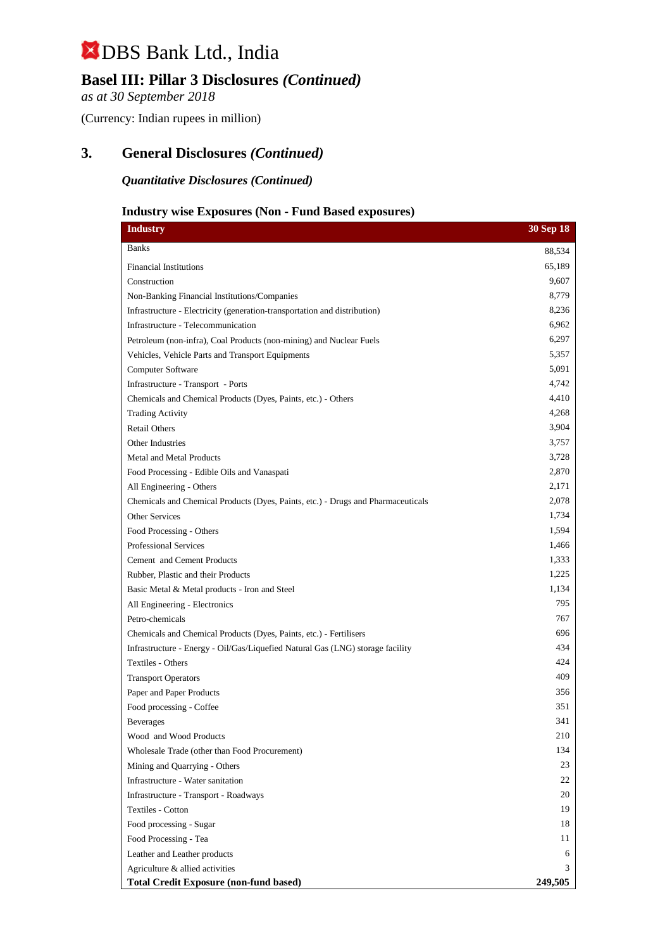## **Basel III: Pillar 3 Disclosures** *(Continued)*

*as at 30 September 2018*

(Currency: Indian rupees in million)

### **3. General Disclosures** *(Continued)*

*Quantitative Disclosures (Continued)*

### **Industry wise Exposures (Non - Fund Based exposures)**

| <b>Industry</b>                                                                  | 30 Sep 18 |
|----------------------------------------------------------------------------------|-----------|
| <b>Banks</b>                                                                     | 88,534    |
| <b>Financial Institutions</b>                                                    | 65,189    |
| Construction                                                                     | 9,607     |
| Non-Banking Financial Institutions/Companies                                     | 8,779     |
| Infrastructure - Electricity (generation-transportation and distribution)        | 8,236     |
| Infrastructure - Telecommunication                                               | 6,962     |
| Petroleum (non-infra), Coal Products (non-mining) and Nuclear Fuels              | 6,297     |
| Vehicles, Vehicle Parts and Transport Equipments                                 | 5,357     |
| Computer Software                                                                | 5,091     |
| Infrastructure - Transport - Ports                                               | 4,742     |
| Chemicals and Chemical Products (Dyes, Paints, etc.) - Others                    | 4,410     |
| <b>Trading Activity</b>                                                          | 4,268     |
| <b>Retail Others</b>                                                             | 3,904     |
| Other Industries                                                                 | 3,757     |
| Metal and Metal Products                                                         | 3,728     |
| Food Processing - Edible Oils and Vanaspati                                      | 2,870     |
| All Engineering - Others                                                         | 2,171     |
| Chemicals and Chemical Products (Dyes, Paints, etc.) - Drugs and Pharmaceuticals | 2,078     |
| Other Services                                                                   | 1,734     |
| Food Processing - Others                                                         | 1,594     |
| <b>Professional Services</b>                                                     | 1,466     |
| Cement and Cement Products                                                       | 1,333     |
| Rubber, Plastic and their Products                                               | 1,225     |
| Basic Metal & Metal products - Iron and Steel                                    | 1,134     |
| All Engineering - Electronics                                                    | 795       |
| Petro-chemicals                                                                  | 767       |
| Chemicals and Chemical Products (Dyes, Paints, etc.) - Fertilisers               | 696       |
| Infrastructure - Energy - Oil/Gas/Liquefied Natural Gas (LNG) storage facility   | 434       |
| <b>Textiles - Others</b>                                                         | 424       |
| <b>Transport Operators</b>                                                       | 409       |
| Paper and Paper Products                                                         | 356       |
| Food processing - Coffee                                                         | 351       |
| Beverages                                                                        | 341       |
| Wood and Wood Products                                                           | 210       |
| Wholesale Trade (other than Food Procurement)                                    | 134       |
| Mining and Quarrying - Others                                                    | 23        |
| Infrastructure - Water sanitation                                                | 22        |
| Infrastructure - Transport - Roadways                                            | 20        |
| Textiles - Cotton                                                                | 19        |
| Food processing - Sugar                                                          | 18        |
| Food Processing - Tea                                                            | 11        |
| Leather and Leather products                                                     | 6         |
| Agriculture & allied activities                                                  | 3         |
| <b>Total Credit Exposure (non-fund based)</b>                                    | 249,505   |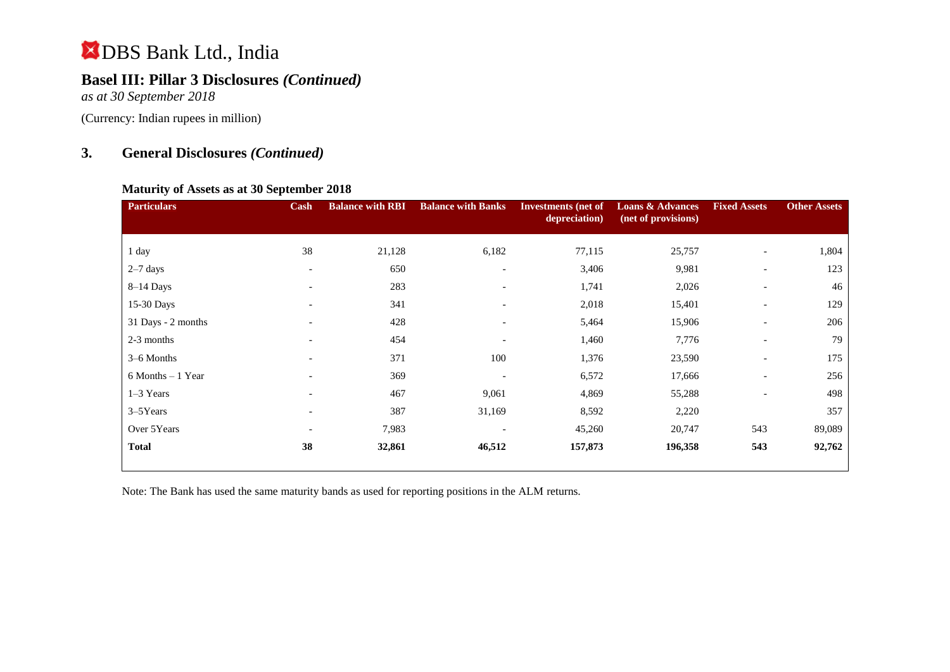## **Basel III: Pillar 3 Disclosures** *(Continued)*

*as at 30 September 2018*

(Currency: Indian rupees in million)

## **3. General Disclosures** *(Continued)*

### **Maturity of Assets as at 30 September 2018**

| <b>Particulars</b> | Cash                     | <b>Balance with RBI</b> | <b>Balance with Banks</b> | <b>Investments</b> (net of<br>depreciation) | <b>Loans &amp; Advances</b><br>(net of provisions) | <b>Fixed Assets</b>      | <b>Other Assets</b> |
|--------------------|--------------------------|-------------------------|---------------------------|---------------------------------------------|----------------------------------------------------|--------------------------|---------------------|
| 1 day              | 38                       | 21,128                  | 6,182                     | 77,115                                      | 25,757                                             | $\overline{\phantom{a}}$ | 1,804               |
| $2-7$ days         | $\overline{\phantom{a}}$ | 650                     | $\overline{\phantom{0}}$  | 3,406                                       | 9,981                                              | $\overline{\phantom{a}}$ | 123                 |
| $8-14$ Days        | $\overline{\phantom{a}}$ | 283                     | $\overline{\phantom{a}}$  | 1,741                                       | 2,026                                              | $\overline{\phantom{a}}$ | 46                  |
| 15-30 Days         |                          | 341                     |                           | 2,018                                       | 15,401                                             | $\overline{\phantom{a}}$ | 129                 |
| 31 Days - 2 months | $\overline{\phantom{a}}$ | 428                     | $\overline{\phantom{a}}$  | 5,464                                       | 15,906                                             | $\overline{\phantom{a}}$ | 206                 |
| 2-3 months         | $\overline{\phantom{a}}$ | 454                     |                           | 1,460                                       | 7,776                                              | $\overline{\phantom{a}}$ | 79                  |
| 3–6 Months         | $\overline{\phantom{a}}$ | 371                     | 100                       | 1,376                                       | 23,590                                             | $\overline{\phantom{a}}$ | 175                 |
| 6 Months - 1 Year  | $\overline{\phantom{0}}$ | 369                     |                           | 6,572                                       | 17,666                                             | $\overline{\phantom{a}}$ | 256                 |
| $1-3$ Years        | $\overline{\phantom{a}}$ | 467                     | 9,061                     | 4,869                                       | 55,288                                             | $\overline{\phantom{a}}$ | 498                 |
| 3–5Years           | $\overline{\phantom{a}}$ | 387                     | 31,169                    | 8,592                                       | 2,220                                              |                          | 357                 |
| Over 5Years        | $\overline{\phantom{a}}$ | 7,983                   |                           | 45,260                                      | 20,747                                             | 543                      | 89,089              |
| <b>Total</b>       | 38                       | 32,861                  | 46,512                    | 157,873                                     | 196,358                                            | 543                      | 92,762              |

Note: The Bank has used the same maturity bands as used for reporting positions in the ALM returns.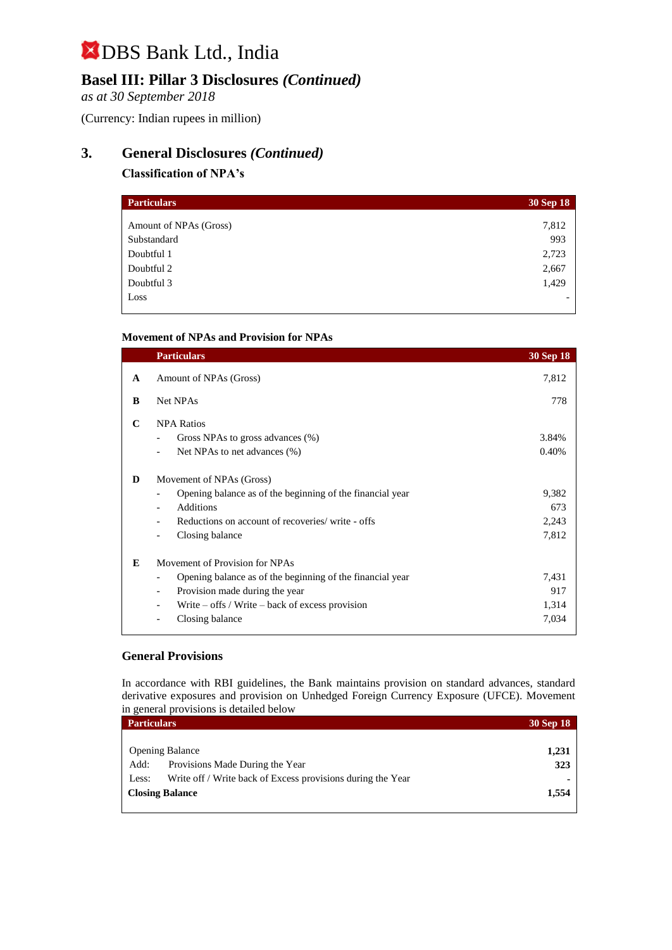## **Basel III: Pillar 3 Disclosures** *(Continued)*

*as at 30 September 2018*

(Currency: Indian rupees in million)

## **3. General Disclosures** *(Continued)*

### **Classification of NPA's**

| <b>Particulars</b>     | 30 Sep 18 |
|------------------------|-----------|
|                        |           |
| Amount of NPAs (Gross) | 7,812     |
| Substandard            | 993       |
| Doubtful 1             | 2,723     |
| Doubtful 2             | 2,667     |
| Doubtful 3             | 1,429     |
| Loss                   | -         |

### **Movement of NPAs and Provision for NPAs**

|   | <b>Particulars</b>                                                                                                                                                                                                                  | <b>30 Sep 18</b>               |
|---|-------------------------------------------------------------------------------------------------------------------------------------------------------------------------------------------------------------------------------------|--------------------------------|
| A | Amount of NPAs (Gross)                                                                                                                                                                                                              | 7,812                          |
| B | Net NPAs                                                                                                                                                                                                                            | 778                            |
| C | <b>NPA Ratios</b><br>Gross NPAs to gross advances (%)<br>Net NPAs to net advances (%)                                                                                                                                               | 3.84%<br>0.40%                 |
| D | Movement of NPAs (Gross)<br>Opening balance as of the beginning of the financial year<br>Additions<br>$\overline{\phantom{0}}$<br>Reductions on account of recoveries/write - offs<br>Closing balance<br>$\overline{\phantom{a}}$   | 9,382<br>673<br>2,243<br>7,812 |
| E | Movement of Provision for NPAs<br>Opening balance as of the beginning of the financial year<br>Provision made during the year<br>$\overline{\phantom{a}}$<br>Write $-$ offs / Write $-$ back of excess provision<br>Closing balance | 7,431<br>917<br>1,314<br>7,034 |

#### **General Provisions**

In accordance with RBI guidelines, the Bank maintains provision on standard advances, standard derivative exposures and provision on Unhedged Foreign Currency Exposure (UFCE). Movement in general provisions is detailed below

| <b>Particulars</b>     |                                                             | <b>30 Sep 18</b> |
|------------------------|-------------------------------------------------------------|------------------|
|                        |                                                             |                  |
| <b>Opening Balance</b> |                                                             | 1,231            |
| Add:                   | Provisions Made During the Year                             | 323              |
| Less:                  | Write off / Write back of Excess provisions during the Year |                  |
| <b>Closing Balance</b> |                                                             | 1,554            |
|                        |                                                             |                  |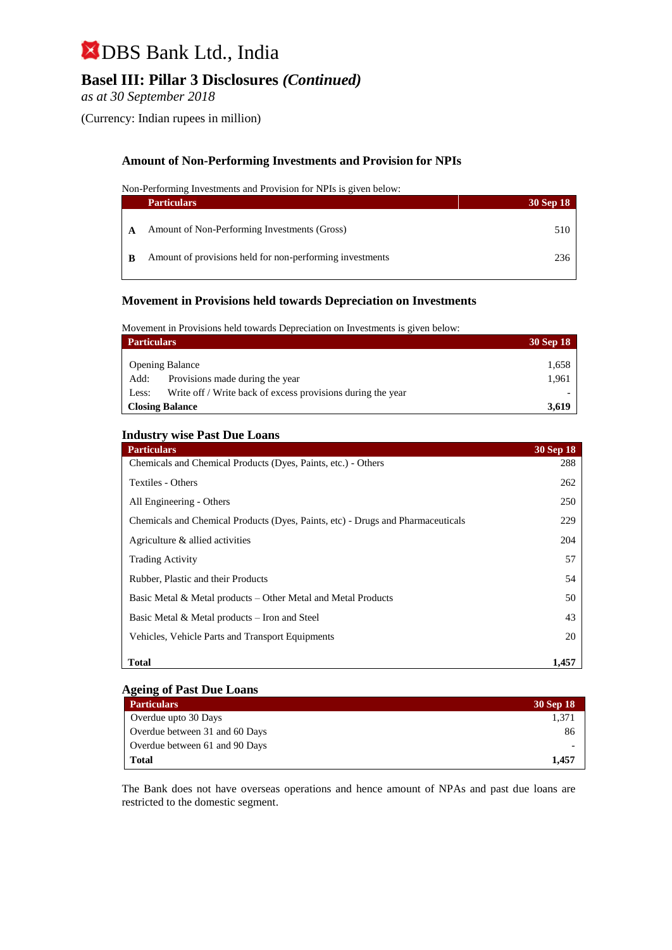## **Basel III: Pillar 3 Disclosures** *(Continued)*

*as at 30 September 2018*

(Currency: Indian rupees in million)

### **Amount of Non-Performing Investments and Provision for NPIs**

Non-Performing Investments and Provision for NPIs is given below:

| <b>Particulars</b>                                       | 30 Sep 18 |
|----------------------------------------------------------|-----------|
| Amount of Non-Performing Investments (Gross)             | 510       |
| Amount of provisions held for non-performing investments | 236       |

#### **Movement in Provisions held towards Depreciation on Investments**

Movement in Provisions held towards Depreciation on Investments is given below:

| <b>Particulars</b>     |                                                             | 30 Sep 18 |
|------------------------|-------------------------------------------------------------|-----------|
|                        |                                                             |           |
| <b>Opening Balance</b> |                                                             | 1,658     |
| Add:                   | Provisions made during the year                             | 1,961     |
| Less:                  | Write off / Write back of excess provisions during the year |           |
| Closing Balance        |                                                             | 3.619     |

#### **Industry wise Past Due Loans**

| <b>Particulars</b>                                                              | <b>30 Sep 18</b> |
|---------------------------------------------------------------------------------|------------------|
| Chemicals and Chemical Products (Dyes, Paints, etc.) - Others                   | 288              |
| Textiles - Others                                                               | 262              |
| All Engineering - Others                                                        | 250              |
| Chemicals and Chemical Products (Dyes, Paints, etc) - Drugs and Pharmaceuticals | 229              |
| Agriculture & allied activities                                                 | 204              |
| <b>Trading Activity</b>                                                         | 57               |
| Rubber, Plastic and their Products                                              | 54               |
| Basic Metal & Metal products – Other Metal and Metal Products                   | 50               |
| Basic Metal & Metal products – Iron and Steel                                   | 43               |
| Vehicles, Vehicle Parts and Transport Equipments                                | 20               |
| <b>Total</b>                                                                    | 1,457            |

#### **Ageing of Past Due Loans**

| <b>Particulars</b>             | 30 Sep 18 |
|--------------------------------|-----------|
| Overdue upto 30 Days           | 1.371     |
| Overdue between 31 and 60 Days | 86        |
| Overdue between 61 and 90 Days |           |
| Total                          | 1.457     |

The Bank does not have overseas operations and hence amount of NPAs and past due loans are restricted to the domestic segment.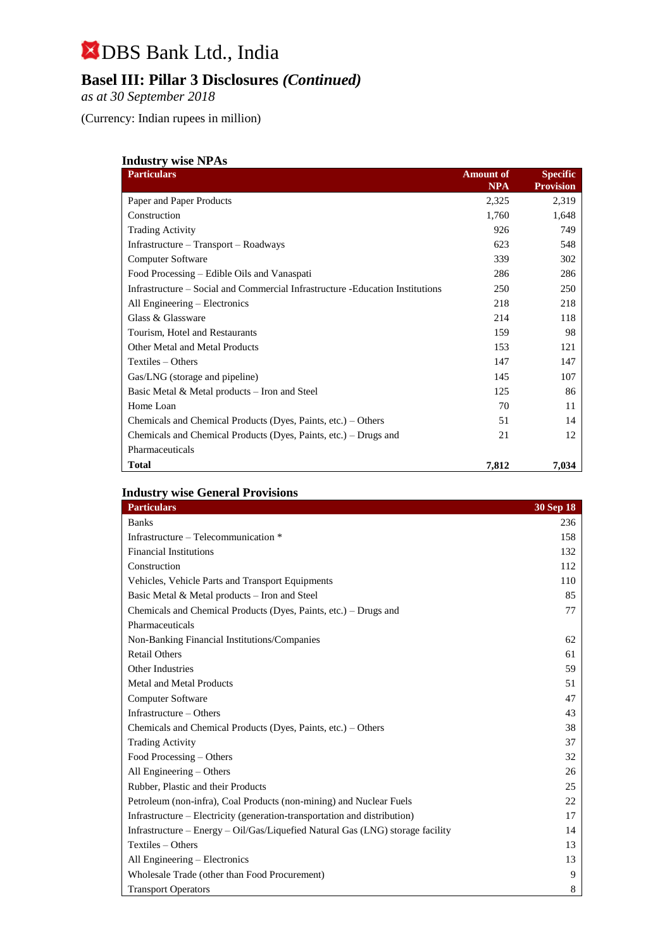## **Basel III: Pillar 3 Disclosures** *(Continued)*

*as at 30 September 2018*

(Currency: Indian rupees in million)

| <b>Industry wise NPAs</b> |  |  |
|---------------------------|--|--|
|                           |  |  |

| <b>Particulars</b>                                                             | <b>Amount of</b><br><b>NPA</b> | <b>Specific</b><br><b>Provision</b> |
|--------------------------------------------------------------------------------|--------------------------------|-------------------------------------|
| Paper and Paper Products                                                       | 2,325                          | 2,319                               |
| Construction                                                                   | 1,760                          | 1,648                               |
| <b>Trading Activity</b>                                                        | 926                            | 749                                 |
| Infrastructure – Transport – Roadways                                          | 623                            | 548                                 |
| <b>Computer Software</b>                                                       | 339                            | 302                                 |
| Food Processing – Edible Oils and Vanaspati                                    | 286                            | 286                                 |
| Infrastructure – Social and Commercial Infrastructure - Education Institutions | 250                            | 250                                 |
| All Engineering – Electronics                                                  | 218                            | 218                                 |
| Glass & Glassware                                                              | 214                            | 118                                 |
| Tourism, Hotel and Restaurants                                                 | 159                            | 98                                  |
| <b>Other Metal and Metal Products</b>                                          | 153                            | 121                                 |
| Textiles – Others                                                              | 147                            | 147                                 |
| Gas/LNG (storage and pipeline)                                                 | 145                            | 107                                 |
| Basic Metal & Metal products – Iron and Steel                                  | 125                            | 86                                  |
| Home Loan                                                                      | 70                             | 11                                  |
| Chemicals and Chemical Products (Dyes, Paints, etc.) – Others                  | 51                             | 14                                  |
| Chemicals and Chemical Products (Dyes, Paints, etc.) – Drugs and               | 21                             | 12                                  |
| Pharmaceuticals                                                                |                                |                                     |
| <b>Total</b>                                                                   | 7,812                          | 7,034                               |

### **Industry wise General Provisions**

| <b>Particulars</b>                                                             | 30 Sep 18 |
|--------------------------------------------------------------------------------|-----------|
| <b>Banks</b>                                                                   | 236       |
| Infrastructure – Telecommunication *                                           | 158       |
| <b>Financial Institutions</b>                                                  | 132       |
| Construction                                                                   | 112       |
| Vehicles, Vehicle Parts and Transport Equipments                               | 110       |
| Basic Metal & Metal products - Iron and Steel                                  | 85        |
| Chemicals and Chemical Products (Dyes, Paints, etc.) – Drugs and               | 77        |
| Pharmaceuticals                                                                |           |
| Non-Banking Financial Institutions/Companies                                   | 62        |
| <b>Retail Others</b>                                                           | 61        |
| Other Industries                                                               | 59        |
| Metal and Metal Products                                                       | 51        |
| Computer Software                                                              | 47        |
| Infrastructure – Others                                                        | 43        |
| Chemicals and Chemical Products (Dyes, Paints, etc.) – Others                  | 38        |
| <b>Trading Activity</b>                                                        | 37        |
| Food Processing – Others                                                       | 32        |
| All Engineering – Others                                                       | 26        |
| Rubber, Plastic and their Products                                             | 25        |
| Petroleum (non-infra), Coal Products (non-mining) and Nuclear Fuels            | 22        |
| Infrastructure – Electricity (generation-transportation and distribution)      | 17        |
| Infrastructure – Energy – Oil/Gas/Liquefied Natural Gas (LNG) storage facility | 14        |
| Textiles - Others                                                              | 13        |
| All Engineering - Electronics                                                  | 13        |
| Wholesale Trade (other than Food Procurement)                                  | 9         |
| <b>Transport Operators</b>                                                     | 8         |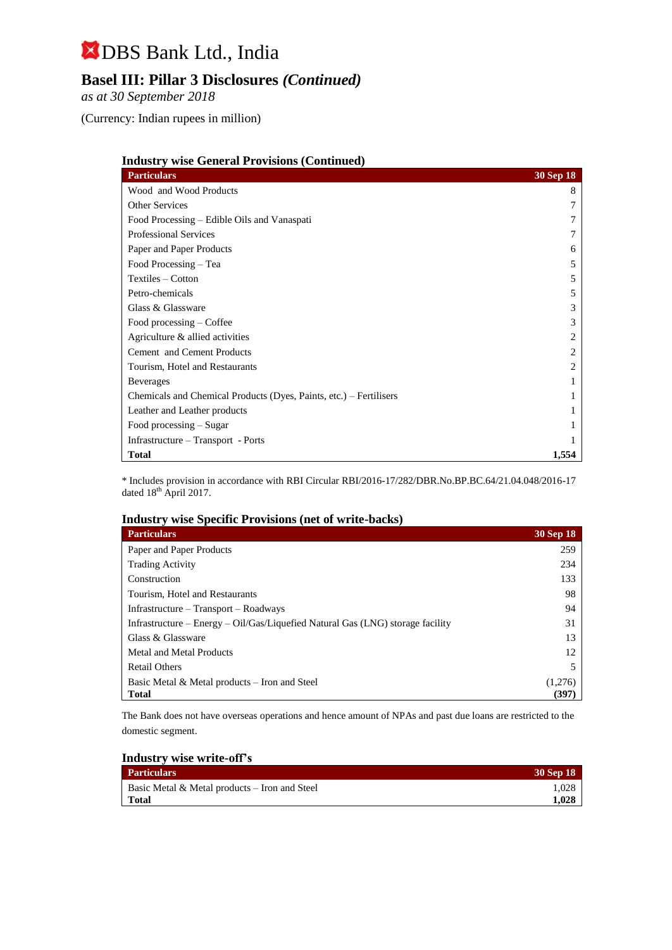## **Basel III: Pillar 3 Disclosures** *(Continued)*

*as at 30 September 2018*

(Currency: Indian rupees in million)

| <b>Industry wise General Provisions (Continued)</b>                |                             |
|--------------------------------------------------------------------|-----------------------------|
| <b>Particulars</b>                                                 | <b>30 Sep 18</b>            |
| Wood and Wood Products                                             | 8                           |
| Other Services                                                     |                             |
| Food Processing – Edible Oils and Vanaspati                        |                             |
| <b>Professional Services</b>                                       |                             |
| Paper and Paper Products                                           | <sub>0</sub>                |
| Food Processing – Tea                                              | 5                           |
| Textiles – Cotton                                                  | 5                           |
| Petro-chemicals                                                    | 5                           |
| Glass & Glassware                                                  | 3                           |
| Food processing – Coffee                                           | 3                           |
| Agriculture & allied activities                                    |                             |
| Cement and Cement Products                                         | $\mathcal{D}_{\mathcal{L}}$ |
| Tourism, Hotel and Restaurants                                     |                             |
| <b>Beverages</b>                                                   |                             |
| Chemicals and Chemical Products (Dyes, Paints, etc.) – Fertilisers |                             |
| Leather and Leather products                                       |                             |
| Food processing $-$ Sugar                                          |                             |
| Infrastructure – Transport - Ports                                 |                             |
| <b>Total</b>                                                       | 1,554                       |

\* Includes provision in accordance with RBI Circular RBI/2016-17/282/DBR.No.BP.BC.64/21.04.048/2016-17 dated 18<sup>th</sup> April 2017.

### **Industry wise Specific Provisions (net of write-backs)**

| <b>Particulars</b>                                                             | 30 Sep 18 |
|--------------------------------------------------------------------------------|-----------|
| Paper and Paper Products                                                       | 259       |
| <b>Trading Activity</b>                                                        | 234       |
| Construction                                                                   | 133       |
| Tourism, Hotel and Restaurants                                                 | 98        |
| $Infrastructure - Transport - Roadways$                                        | 94        |
| Infrastructure – Energy – Oil/Gas/Liquefied Natural Gas (LNG) storage facility | 31        |
| Glass & Glassware                                                              | 13        |
| Metal and Metal Products                                                       | 12        |
| <b>Retail Others</b>                                                           |           |
| Basic Metal & Metal products – Iron and Steel                                  | (1,276)   |
| <b>Total</b>                                                                   | (397)     |

The Bank does not have overseas operations and hence amount of NPAs and past due loans are restricted to the domestic segment.

| Industry wise write-off's |  |  |
|---------------------------|--|--|
|                           |  |  |

| <b>Particulars</b>                               | 30 Sep 18 |
|--------------------------------------------------|-----------|
| Basic Metal $\&$ Metal products – Iron and Steel | .028      |
| Total                                            | 1.028     |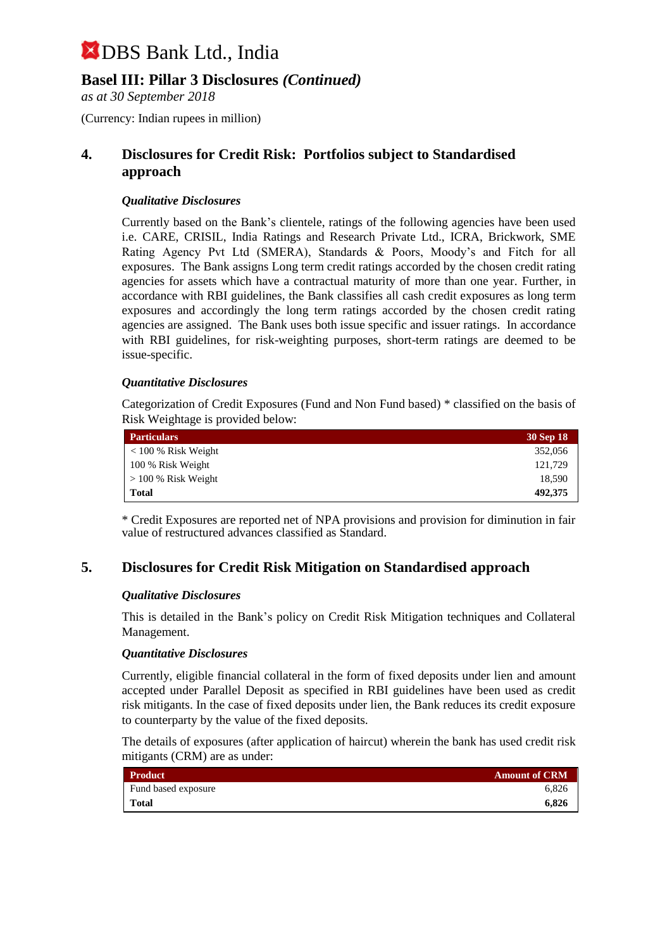### **Basel III: Pillar 3 Disclosures** *(Continued)*

*as at 30 September 2018*

(Currency: Indian rupees in million)

### **4. Disclosures for Credit Risk: Portfolios subject to Standardised approach**

### *Qualitative Disclosures*

Currently based on the Bank's clientele, ratings of the following agencies have been used i.e. CARE, CRISIL, India Ratings and Research Private Ltd., ICRA, Brickwork, SME Rating Agency Pvt Ltd (SMERA), Standards & Poors, Moody's and Fitch for all exposures. The Bank assigns Long term credit ratings accorded by the chosen credit rating agencies for assets which have a contractual maturity of more than one year. Further, in accordance with RBI guidelines, the Bank classifies all cash credit exposures as long term exposures and accordingly the long term ratings accorded by the chosen credit rating agencies are assigned. The Bank uses both issue specific and issuer ratings. In accordance with RBI guidelines, for risk-weighting purposes, short-term ratings are deemed to be issue-specific.

### *Quantitative Disclosures*

Categorization of Credit Exposures (Fund and Non Fund based) \* classified on the basis of Risk Weightage is provided below:

| <b>Particulars</b>    | 30 Sep 18 |
|-----------------------|-----------|
| $< 100 %$ Risk Weight | 352,056   |
| 100 % Risk Weight     | 121,729   |
| $> 100\%$ Risk Weight | 18,590    |
| Total                 | 492,375   |

\* Credit Exposures are reported net of NPA provisions and provision for diminution in fair value of restructured advances classified as Standard.

### **5. Disclosures for Credit Risk Mitigation on Standardised approach**

### *Qualitative Disclosures*

This is detailed in the Bank's policy on Credit Risk Mitigation techniques and Collateral Management.

### *Quantitative Disclosures*

Currently, eligible financial collateral in the form of fixed deposits under lien and amount accepted under Parallel Deposit as specified in RBI guidelines have been used as credit risk mitigants. In the case of fixed deposits under lien, the Bank reduces its credit exposure to counterparty by the value of the fixed deposits.

The details of exposures (after application of haircut) wherein the bank has used credit risk mitigants (CRM) are as under:

| <b>Product</b>      | <b>Amount of CRM</b> |
|---------------------|----------------------|
| Fund based exposure | 6.826                |
| <b>Total</b>        | 6.826                |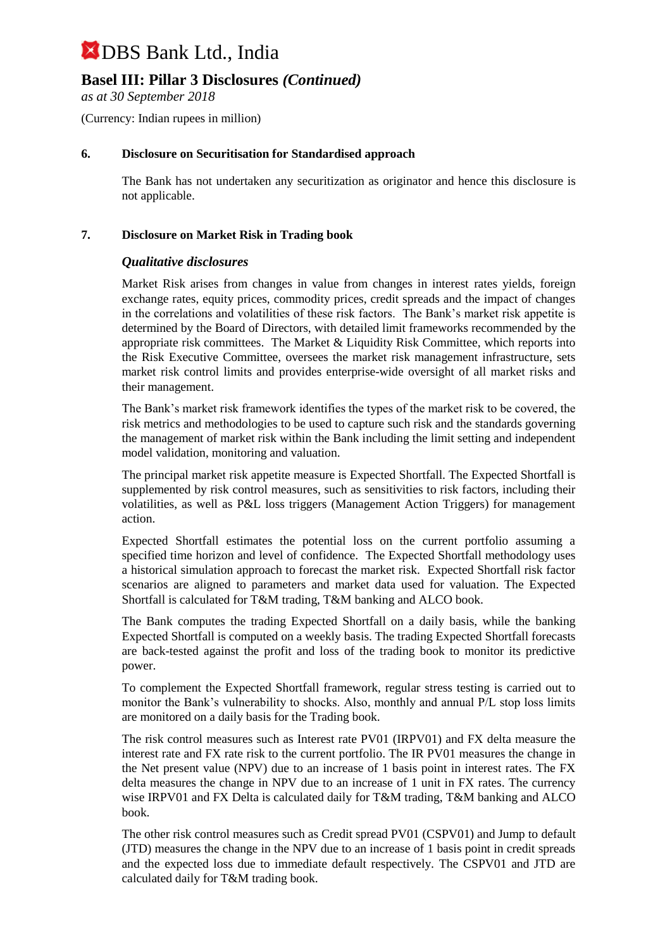## **Basel III: Pillar 3 Disclosures** *(Continued)*

*as at 30 September 2018*

(Currency: Indian rupees in million)

### **6. Disclosure on Securitisation for Standardised approach**

The Bank has not undertaken any securitization as originator and hence this disclosure is not applicable.

### **7. Disclosure on Market Risk in Trading book**

### *Qualitative disclosures*

Market Risk arises from changes in value from changes in interest rates yields, foreign exchange rates, equity prices, commodity prices, credit spreads and the impact of changes in the correlations and volatilities of these risk factors. The Bank's market risk appetite is determined by the Board of Directors, with detailed limit frameworks recommended by the appropriate risk committees. The Market & Liquidity Risk Committee, which reports into the Risk Executive Committee, oversees the market risk management infrastructure, sets market risk control limits and provides enterprise-wide oversight of all market risks and their management.

The Bank's market risk framework identifies the types of the market risk to be covered, the risk metrics and methodologies to be used to capture such risk and the standards governing the management of market risk within the Bank including the limit setting and independent model validation, monitoring and valuation.

The principal market risk appetite measure is Expected Shortfall. The Expected Shortfall is supplemented by risk control measures, such as sensitivities to risk factors, including their volatilities, as well as P&L loss triggers (Management Action Triggers) for management action.

Expected Shortfall estimates the potential loss on the current portfolio assuming a specified time horizon and level of confidence. The Expected Shortfall methodology uses a historical simulation approach to forecast the market risk. Expected Shortfall risk factor scenarios are aligned to parameters and market data used for valuation. The Expected Shortfall is calculated for T&M trading, T&M banking and ALCO book.

The Bank computes the trading Expected Shortfall on a daily basis, while the banking Expected Shortfall is computed on a weekly basis. The trading Expected Shortfall forecasts are back-tested against the profit and loss of the trading book to monitor its predictive power.

To complement the Expected Shortfall framework, regular stress testing is carried out to monitor the Bank's vulnerability to shocks. Also, monthly and annual P/L stop loss limits are monitored on a daily basis for the Trading book.

The risk control measures such as Interest rate PV01 (IRPV01) and FX delta measure the interest rate and FX rate risk to the current portfolio. The IR PV01 measures the change in the Net present value (NPV) due to an increase of 1 basis point in interest rates. The FX delta measures the change in NPV due to an increase of 1 unit in FX rates. The currency wise IRPV01 and FX Delta is calculated daily for T&M trading, T&M banking and ALCO book.

The other risk control measures such as Credit spread PV01 (CSPV01) and Jump to default (JTD) measures the change in the NPV due to an increase of 1 basis point in credit spreads and the expected loss due to immediate default respectively. The CSPV01 and JTD are calculated daily for T&M trading book.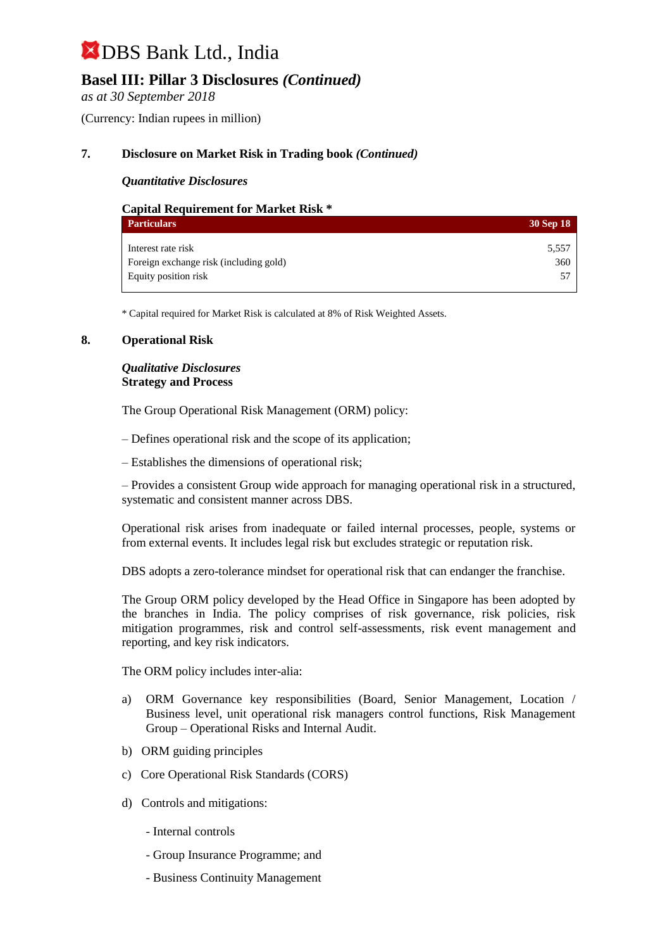## **Basel III: Pillar 3 Disclosures** *(Continued)*

*as at 30 September 2018*

(Currency: Indian rupees in million)

### **7. Disclosure on Market Risk in Trading book** *(Continued)*

### *Quantitative Disclosures*

| <b>Capital Requirement for Market Risk *</b> |           |
|----------------------------------------------|-----------|
| <b>Particulars</b>                           | 30 Sep 18 |
| Interest rate risk                           | 5,557     |
| Foreign exchange risk (including gold)       | 360       |
| Equity position risk                         |           |

\* Capital required for Market Risk is calculated at 8% of Risk Weighted Assets.

### **8. Operational Risk**

### *Qualitative Disclosures* **Strategy and Process**

The Group Operational Risk Management (ORM) policy:

– Defines operational risk and the scope of its application;

– Establishes the dimensions of operational risk;

– Provides a consistent Group wide approach for managing operational risk in a structured, systematic and consistent manner across DBS.

Operational risk arises from inadequate or failed internal processes, people, systems or from external events. It includes legal risk but excludes strategic or reputation risk.

DBS adopts a zero-tolerance mindset for operational risk that can endanger the franchise.

The Group ORM policy developed by the Head Office in Singapore has been adopted by the branches in India. The policy comprises of risk governance, risk policies, risk mitigation programmes, risk and control self-assessments, risk event management and reporting, and key risk indicators.

The ORM policy includes inter-alia:

- a) ORM Governance key responsibilities (Board, Senior Management, Location / Business level, unit operational risk managers control functions, Risk Management Group – Operational Risks and Internal Audit.
- b) ORM guiding principles
- c) Core Operational Risk Standards (CORS)
- d) Controls and mitigations:
	- Internal controls
	- Group Insurance Programme; and
	- Business Continuity Management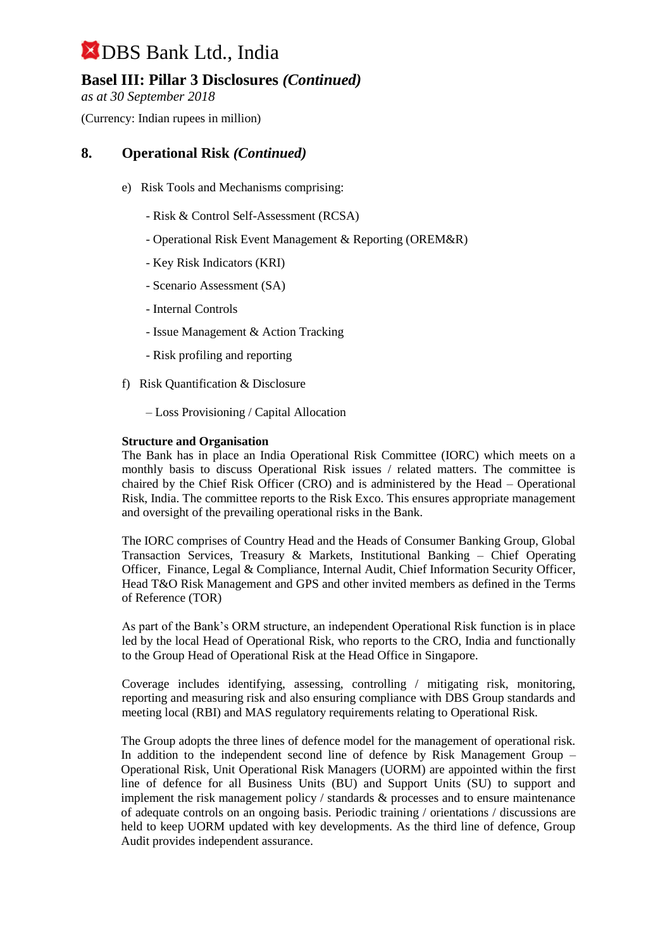## **Basel III: Pillar 3 Disclosures** *(Continued)*

*as at 30 September 2018*

(Currency: Indian rupees in million)

### **8. Operational Risk** *(Continued)*

- e) Risk Tools and Mechanisms comprising:
	- Risk & Control Self-Assessment (RCSA)
	- Operational Risk Event Management & Reporting (OREM&R)
	- Key Risk Indicators (KRI)
	- Scenario Assessment (SA)
	- Internal Controls
	- Issue Management & Action Tracking
	- Risk profiling and reporting
- f) Risk Quantification & Disclosure
	- Loss Provisioning / Capital Allocation

### **Structure and Organisation**

The Bank has in place an India Operational Risk Committee (IORC) which meets on a monthly basis to discuss Operational Risk issues / related matters. The committee is chaired by the Chief Risk Officer (CRO) and is administered by the Head – Operational Risk, India. The committee reports to the Risk Exco. This ensures appropriate management and oversight of the prevailing operational risks in the Bank.

The IORC comprises of Country Head and the Heads of Consumer Banking Group, Global Transaction Services, Treasury & Markets, Institutional Banking – Chief Operating Officer, Finance, Legal & Compliance, Internal Audit, Chief Information Security Officer, Head T&O Risk Management and GPS and other invited members as defined in the Terms of Reference (TOR)

As part of the Bank's ORM structure, an independent Operational Risk function is in place led by the local Head of Operational Risk, who reports to the CRO, India and functionally to the Group Head of Operational Risk at the Head Office in Singapore.

Coverage includes identifying, assessing, controlling / mitigating risk, monitoring, reporting and measuring risk and also ensuring compliance with DBS Group standards and meeting local (RBI) and MAS regulatory requirements relating to Operational Risk.

The Group adopts the three lines of defence model for the management of operational risk. In addition to the independent second line of defence by Risk Management Group – Operational Risk, Unit Operational Risk Managers (UORM) are appointed within the first line of defence for all Business Units (BU) and Support Units (SU) to support and implement the risk management policy / standards & processes and to ensure maintenance of adequate controls on an ongoing basis. Periodic training / orientations / discussions are held to keep UORM updated with key developments. As the third line of defence, Group Audit provides independent assurance.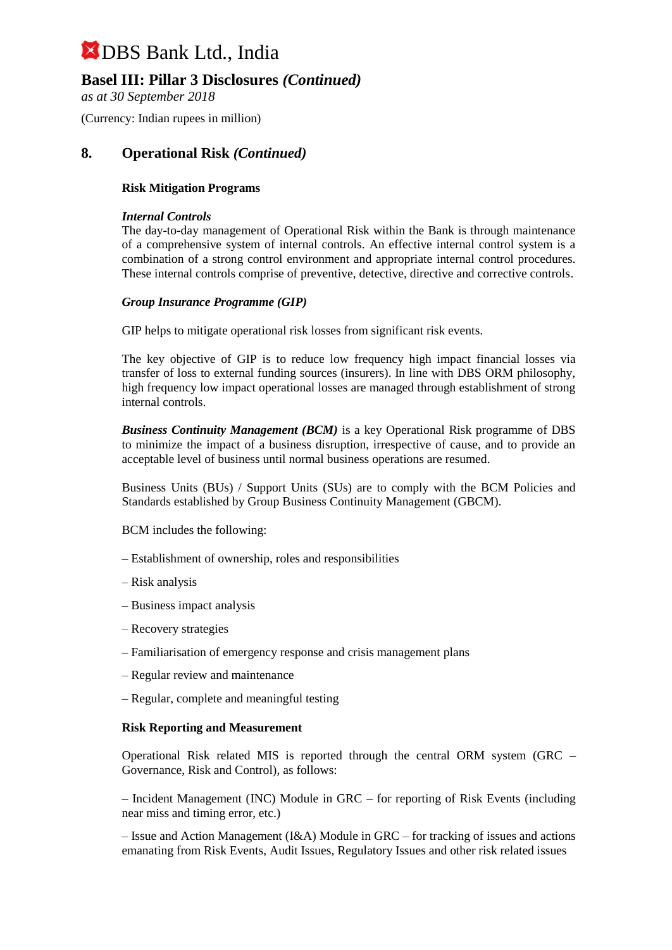### **Basel III: Pillar 3 Disclosures** *(Continued)*

*as at 30 September 2018*

(Currency: Indian rupees in million)

### **8. Operational Risk** *(Continued)*

### **Risk Mitigation Programs**

#### *Internal Controls*

The day-to-day management of Operational Risk within the Bank is through maintenance of a comprehensive system of internal controls. An effective internal control system is a combination of a strong control environment and appropriate internal control procedures. These internal controls comprise of preventive, detective, directive and corrective controls.

### *Group Insurance Programme (GIP)*

GIP helps to mitigate operational risk losses from significant risk events.

The key objective of GIP is to reduce low frequency high impact financial losses via transfer of loss to external funding sources (insurers). In line with DBS ORM philosophy, high frequency low impact operational losses are managed through establishment of strong internal controls.

*Business Continuity Management (BCM)* is a key Operational Risk programme of DBS to minimize the impact of a business disruption, irrespective of cause, and to provide an acceptable level of business until normal business operations are resumed.

Business Units (BUs) / Support Units (SUs) are to comply with the BCM Policies and Standards established by Group Business Continuity Management (GBCM).

BCM includes the following:

- Establishment of ownership, roles and responsibilities
- Risk analysis
- Business impact analysis
- Recovery strategies
- Familiarisation of emergency response and crisis management plans
- Regular review and maintenance
- Regular, complete and meaningful testing

#### **Risk Reporting and Measurement**

Operational Risk related MIS is reported through the central ORM system (GRC – Governance, Risk and Control), as follows:

– Incident Management (INC) Module in GRC – for reporting of Risk Events (including near miss and timing error, etc.)

– Issue and Action Management (I&A) Module in GRC – for tracking of issues and actions emanating from Risk Events, Audit Issues, Regulatory Issues and other risk related issues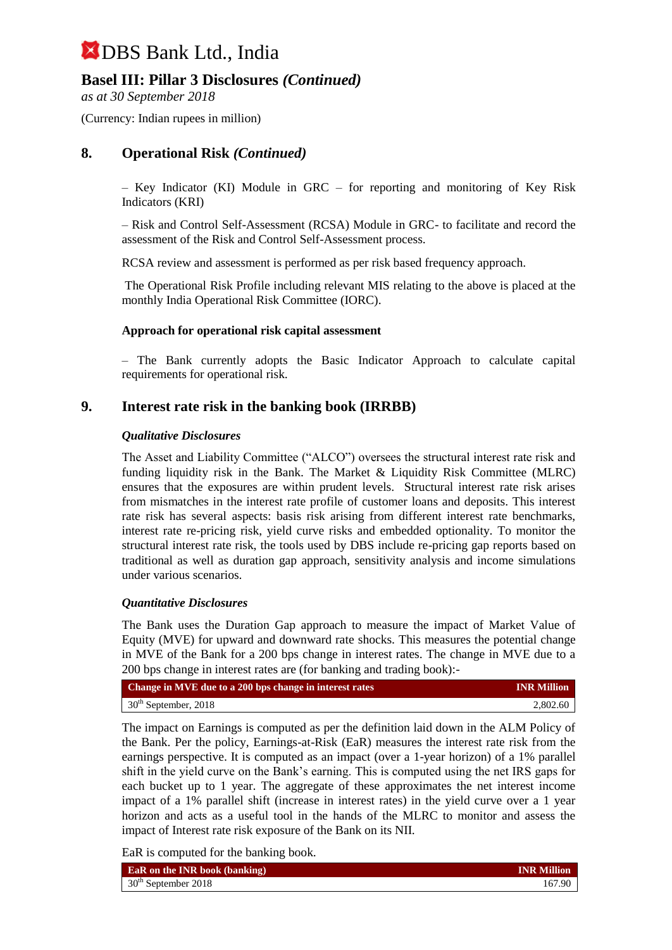## **Basel III: Pillar 3 Disclosures** *(Continued)*

*as at 30 September 2018*

(Currency: Indian rupees in million)

### **8. Operational Risk** *(Continued)*

– Key Indicator (KI) Module in GRC – for reporting and monitoring of Key Risk Indicators (KRI)

– Risk and Control Self-Assessment (RCSA) Module in GRC- to facilitate and record the assessment of the Risk and Control Self-Assessment process.

RCSA review and assessment is performed as per risk based frequency approach.

The Operational Risk Profile including relevant MIS relating to the above is placed at the monthly India Operational Risk Committee (IORC).

### **Approach for operational risk capital assessment**

– The Bank currently adopts the Basic Indicator Approach to calculate capital requirements for operational risk.

### **9. Interest rate risk in the banking book (IRRBB)**

### *Qualitative Disclosures*

The Asset and Liability Committee ("ALCO") oversees the structural interest rate risk and funding liquidity risk in the Bank. The Market & Liquidity Risk Committee (MLRC) ensures that the exposures are within prudent levels. Structural interest rate risk arises from mismatches in the interest rate profile of customer loans and deposits. This interest rate risk has several aspects: basis risk arising from different interest rate benchmarks, interest rate re-pricing risk, yield curve risks and embedded optionality. To monitor the structural interest rate risk, the tools used by DBS include re-pricing gap reports based on traditional as well as duration gap approach, sensitivity analysis and income simulations under various scenarios.

#### *Quantitative Disclosures*

The Bank uses the Duration Gap approach to measure the impact of Market Value of Equity (MVE) for upward and downward rate shocks. This measures the potential change in MVE of the Bank for a 200 bps change in interest rates. The change in MVE due to a 200 bps change in interest rates are (for banking and trading book):-

| Change in MVE due to a 200 bps change in interest rates | <b>INR Million</b> |
|---------------------------------------------------------|--------------------|
| $30th$ September, 2018                                  | 2,802.60           |

The impact on Earnings is computed as per the definition laid down in the ALM Policy of the Bank. Per the policy, Earnings-at-Risk (EaR) measures the interest rate risk from the earnings perspective. It is computed as an impact (over a 1-year horizon) of a 1% parallel shift in the yield curve on the Bank's earning. This is computed using the net IRS gaps for each bucket up to 1 year. The aggregate of these approximates the net interest income impact of a 1% parallel shift (increase in interest rates) in the yield curve over a 1 year horizon and acts as a useful tool in the hands of the MLRC to monitor and assess the impact of Interest rate risk exposure of the Bank on its NII.

EaR is computed for the banking book.

| <b>EaR</b> on the INR book (banking) | <b>INR</b> Million |
|--------------------------------------|--------------------|
| $30th$ September 2018                | 167.90             |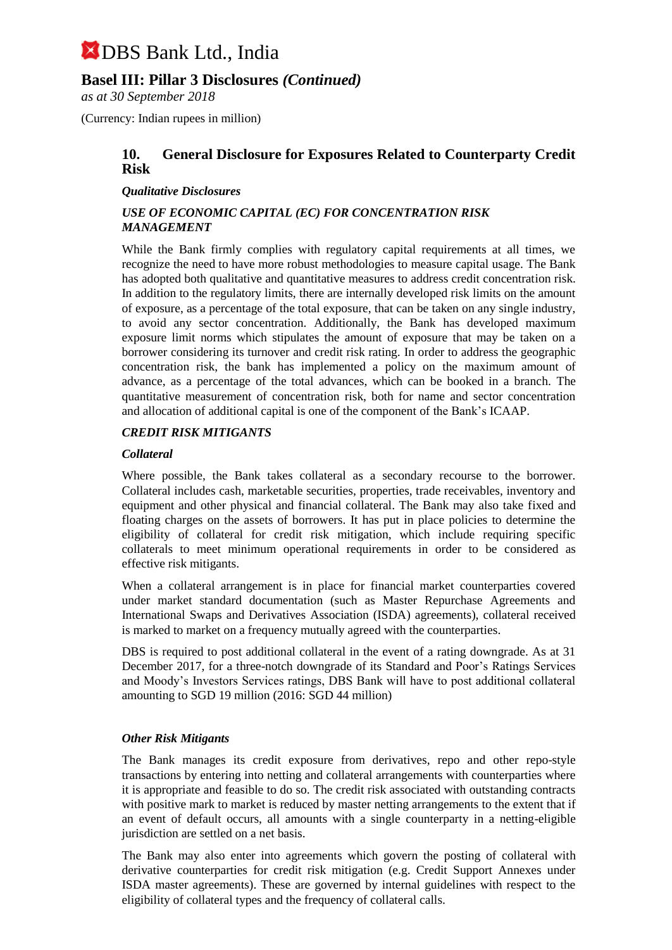### **Basel III: Pillar 3 Disclosures** *(Continued)*

*as at 30 September 2018*

(Currency: Indian rupees in million)

### **10. General Disclosure for Exposures Related to Counterparty Credit Risk**

### *Qualitative Disclosures*

### *USE OF ECONOMIC CAPITAL (EC) FOR CONCENTRATION RISK MANAGEMENT*

While the Bank firmly complies with regulatory capital requirements at all times, we recognize the need to have more robust methodologies to measure capital usage. The Bank has adopted both qualitative and quantitative measures to address credit concentration risk. In addition to the regulatory limits, there are internally developed risk limits on the amount of exposure, as a percentage of the total exposure, that can be taken on any single industry, to avoid any sector concentration. Additionally, the Bank has developed maximum exposure limit norms which stipulates the amount of exposure that may be taken on a borrower considering its turnover and credit risk rating. In order to address the geographic concentration risk, the bank has implemented a policy on the maximum amount of advance, as a percentage of the total advances, which can be booked in a branch. The quantitative measurement of concentration risk, both for name and sector concentration and allocation of additional capital is one of the component of the Bank's ICAAP.

### *CREDIT RISK MITIGANTS*

### *Collateral*

Where possible, the Bank takes collateral as a secondary recourse to the borrower. Collateral includes cash, marketable securities, properties, trade receivables, inventory and equipment and other physical and financial collateral. The Bank may also take fixed and floating charges on the assets of borrowers. It has put in place policies to determine the eligibility of collateral for credit risk mitigation, which include requiring specific collaterals to meet minimum operational requirements in order to be considered as effective risk mitigants.

When a collateral arrangement is in place for financial market counterparties covered under market standard documentation (such as Master Repurchase Agreements and International Swaps and Derivatives Association (ISDA) agreements), collateral received is marked to market on a frequency mutually agreed with the counterparties.

DBS is required to post additional collateral in the event of a rating downgrade. As at 31 December 2017, for a three-notch downgrade of its Standard and Poor's Ratings Services and Moody's Investors Services ratings, DBS Bank will have to post additional collateral amounting to SGD 19 million (2016: SGD 44 million)

### *Other Risk Mitigants*

The Bank manages its credit exposure from derivatives, repo and other repo-style transactions by entering into netting and collateral arrangements with counterparties where it is appropriate and feasible to do so. The credit risk associated with outstanding contracts with positive mark to market is reduced by master netting arrangements to the extent that if an event of default occurs, all amounts with a single counterparty in a netting-eligible jurisdiction are settled on a net basis.

The Bank may also enter into agreements which govern the posting of collateral with derivative counterparties for credit risk mitigation (e.g. Credit Support Annexes under ISDA master agreements). These are governed by internal guidelines with respect to the eligibility of collateral types and the frequency of collateral calls.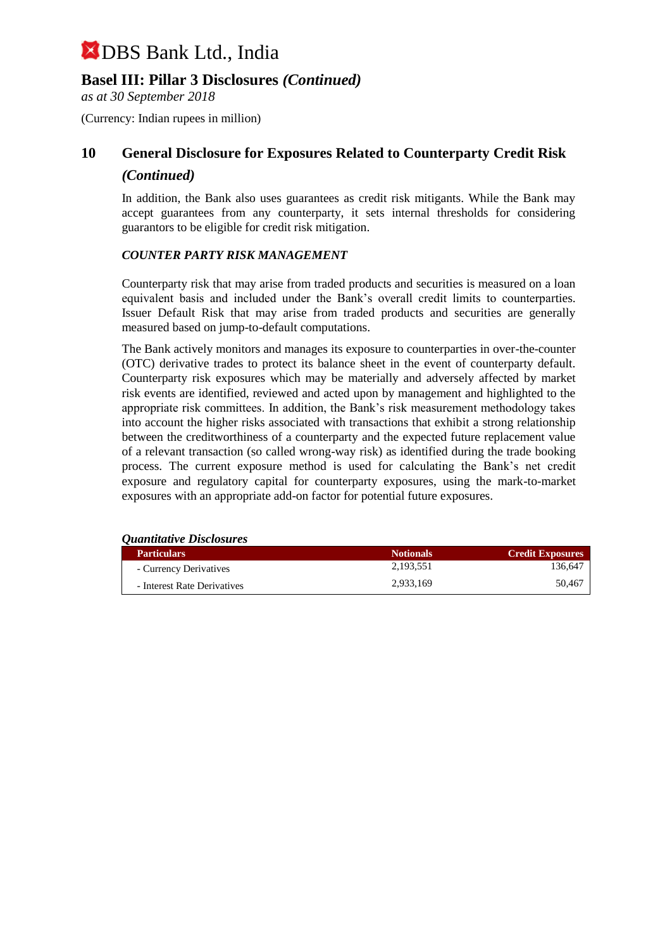### **Basel III: Pillar 3 Disclosures** *(Continued)*

*as at 30 September 2018*

(Currency: Indian rupees in million)

## **10 General Disclosure for Exposures Related to Counterparty Credit Risk** *(Continued)*

In addition, the Bank also uses guarantees as credit risk mitigants. While the Bank may accept guarantees from any counterparty, it sets internal thresholds for considering guarantors to be eligible for credit risk mitigation.

### *COUNTER PARTY RISK MANAGEMENT*

Counterparty risk that may arise from traded products and securities is measured on a loan equivalent basis and included under the Bank's overall credit limits to counterparties. Issuer Default Risk that may arise from traded products and securities are generally measured based on jump-to-default computations.

The Bank actively monitors and manages its exposure to counterparties in over-the-counter (OTC) derivative trades to protect its balance sheet in the event of counterparty default. Counterparty risk exposures which may be materially and adversely affected by market risk events are identified, reviewed and acted upon by management and highlighted to the appropriate risk committees. In addition, the Bank's risk measurement methodology takes into account the higher risks associated with transactions that exhibit a strong relationship between the creditworthiness of a counterparty and the expected future replacement value of a relevant transaction (so called wrong-way risk) as identified during the trade booking process. The current exposure method is used for calculating the Bank's net credit exposure and regulatory capital for counterparty exposures, using the mark-to-market exposures with an appropriate add-on factor for potential future exposures.

*Quantitative Disclosures*

| <b>Particulars</b>          | <b>Notionals</b> | <b>Credit Exposures</b> |
|-----------------------------|------------------|-------------------------|
| - Currency Derivatives      | 2.193.551        | 136.647                 |
| - Interest Rate Derivatives | 2.933.169        | 50.467                  |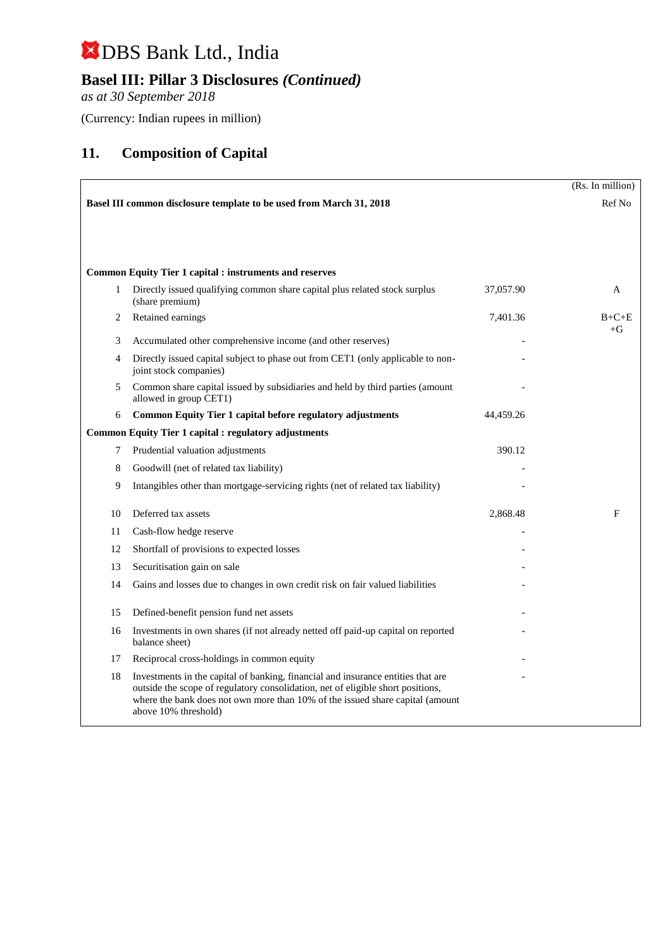## **Basel III: Pillar 3 Disclosures** *(Continued)*

*as at 30 September 2018*

(Currency: Indian rupees in million)

## **11. Composition of Capital**

|    |                                                                                                                                                                                                                                                                              |           | (Rs. In million) |
|----|------------------------------------------------------------------------------------------------------------------------------------------------------------------------------------------------------------------------------------------------------------------------------|-----------|------------------|
|    | Basel III common disclosure template to be used from March 31, 2018                                                                                                                                                                                                          |           | Ref No           |
|    |                                                                                                                                                                                                                                                                              |           |                  |
|    |                                                                                                                                                                                                                                                                              |           |                  |
|    |                                                                                                                                                                                                                                                                              |           |                  |
|    | <b>Common Equity Tier 1 capital : instruments and reserves</b>                                                                                                                                                                                                               |           |                  |
| 1  | Directly issued qualifying common share capital plus related stock surplus<br>(share premium)                                                                                                                                                                                | 37,057.90 | A                |
| 2  | Retained earnings                                                                                                                                                                                                                                                            | 7,401.36  | $B+C+E$<br>$+G$  |
| 3  | Accumulated other comprehensive income (and other reserves)                                                                                                                                                                                                                  |           |                  |
| 4  | Directly issued capital subject to phase out from CET1 (only applicable to non-<br>joint stock companies)                                                                                                                                                                    |           |                  |
| 5  | Common share capital issued by subsidiaries and held by third parties (amount<br>allowed in group CET1)                                                                                                                                                                      |           |                  |
| 6  | Common Equity Tier 1 capital before regulatory adjustments                                                                                                                                                                                                                   | 44,459.26 |                  |
|    | <b>Common Equity Tier 1 capital : regulatory adjustments</b>                                                                                                                                                                                                                 |           |                  |
| 7  | Prudential valuation adjustments                                                                                                                                                                                                                                             | 390.12    |                  |
| 8  | Goodwill (net of related tax liability)                                                                                                                                                                                                                                      |           |                  |
| 9  | Intangibles other than mortgage-servicing rights (net of related tax liability)                                                                                                                                                                                              |           |                  |
| 10 | Deferred tax assets                                                                                                                                                                                                                                                          | 2,868.48  | F                |
| 11 | Cash-flow hedge reserve                                                                                                                                                                                                                                                      |           |                  |
| 12 | Shortfall of provisions to expected losses                                                                                                                                                                                                                                   |           |                  |
| 13 | Securitisation gain on sale                                                                                                                                                                                                                                                  |           |                  |
| 14 | Gains and losses due to changes in own credit risk on fair valued liabilities                                                                                                                                                                                                |           |                  |
| 15 | Defined-benefit pension fund net assets                                                                                                                                                                                                                                      |           |                  |
| 16 | Investments in own shares (if not already netted off paid-up capital on reported<br>balance sheet)                                                                                                                                                                           |           |                  |
| 17 | Reciprocal cross-holdings in common equity                                                                                                                                                                                                                                   |           |                  |
| 18 | Investments in the capital of banking, financial and insurance entities that are<br>outside the scope of regulatory consolidation, net of eligible short positions,<br>where the bank does not own more than 10% of the issued share capital (amount<br>above 10% threshold) |           |                  |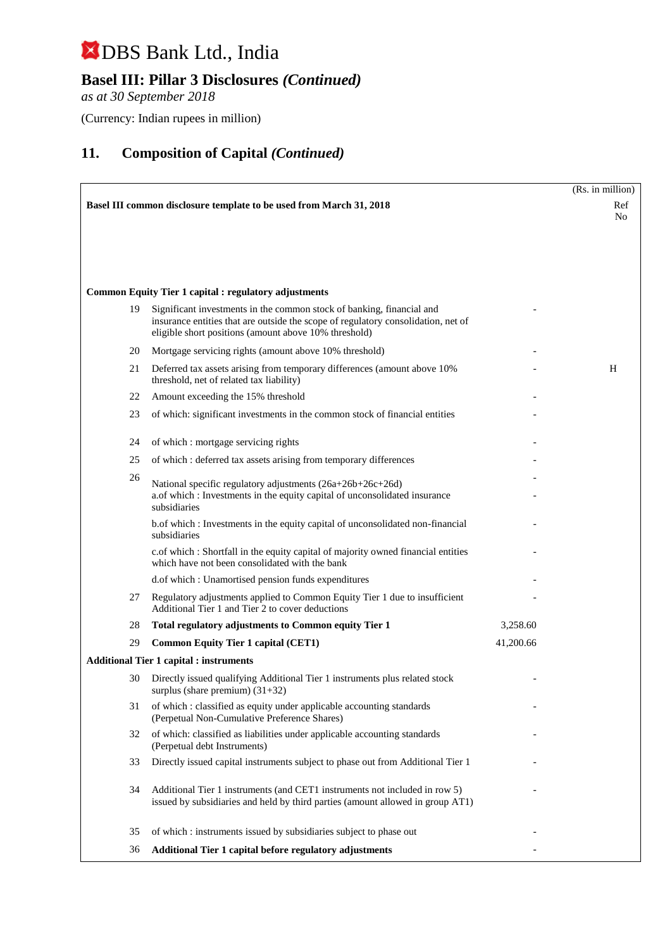## **Basel III: Pillar 3 Disclosures** *(Continued)*

*as at 30 September 2018*

(Currency: Indian rupees in million)

|    |                                                                                                                                                                                                                     |           | (Rs. in million) |
|----|---------------------------------------------------------------------------------------------------------------------------------------------------------------------------------------------------------------------|-----------|------------------|
|    | Basel III common disclosure template to be used from March 31, 2018                                                                                                                                                 |           | Ref              |
|    |                                                                                                                                                                                                                     |           | N <sub>0</sub>   |
|    |                                                                                                                                                                                                                     |           |                  |
|    |                                                                                                                                                                                                                     |           |                  |
|    |                                                                                                                                                                                                                     |           |                  |
|    | <b>Common Equity Tier 1 capital : regulatory adjustments</b>                                                                                                                                                        |           |                  |
| 19 | Significant investments in the common stock of banking, financial and<br>insurance entities that are outside the scope of regulatory consolidation, net of<br>eligible short positions (amount above 10% threshold) |           |                  |
| 20 | Mortgage servicing rights (amount above 10% threshold)                                                                                                                                                              |           |                  |
| 21 | Deferred tax assets arising from temporary differences (amount above 10%)<br>threshold, net of related tax liability)                                                                                               |           | H                |
| 22 | Amount exceeding the 15% threshold                                                                                                                                                                                  |           |                  |
| 23 | of which: significant investments in the common stock of financial entities                                                                                                                                         |           |                  |
| 24 |                                                                                                                                                                                                                     |           |                  |
| 25 | of which: mortgage servicing rights                                                                                                                                                                                 |           |                  |
| 26 | of which: deferred tax assets arising from temporary differences                                                                                                                                                    |           |                  |
|    | National specific regulatory adjustments (26a+26b+26c+26d)<br>a.of which : Investments in the equity capital of unconsolidated insurance<br>subsidiaries                                                            |           |                  |
|    | b.of which : Investments in the equity capital of unconsolidated non-financial<br>subsidiaries                                                                                                                      |           |                  |
|    | c.of which : Shortfall in the equity capital of majority owned financial entities<br>which have not been consolidated with the bank                                                                                 |           |                  |
|    | d.of which: Unamortised pension funds expenditures                                                                                                                                                                  |           |                  |
| 27 | Regulatory adjustments applied to Common Equity Tier 1 due to insufficient<br>Additional Tier 1 and Tier 2 to cover deductions                                                                                      |           |                  |
| 28 | Total regulatory adjustments to Common equity Tier 1                                                                                                                                                                | 3,258.60  |                  |
| 29 | <b>Common Equity Tier 1 capital (CET1)</b>                                                                                                                                                                          | 41,200.66 |                  |
|    | <b>Additional Tier 1 capital : instruments</b>                                                                                                                                                                      |           |                  |
| 30 | Directly issued qualifying Additional Tier 1 instruments plus related stock<br>surplus (share premium) $(31+32)$                                                                                                    |           |                  |
| 31 | of which: classified as equity under applicable accounting standards<br>(Perpetual Non-Cumulative Preference Shares)                                                                                                |           |                  |
| 32 | of which: classified as liabilities under applicable accounting standards<br>(Perpetual debt Instruments)                                                                                                           |           |                  |
| 33 | Directly issued capital instruments subject to phase out from Additional Tier 1                                                                                                                                     |           |                  |
| 34 | Additional Tier 1 instruments (and CET1 instruments not included in row 5)<br>issued by subsidiaries and held by third parties (amount allowed in group AT1)                                                        |           |                  |
| 35 | of which: instruments issued by subsidiaries subject to phase out                                                                                                                                                   |           |                  |
| 36 | Additional Tier 1 capital before regulatory adjustments                                                                                                                                                             |           |                  |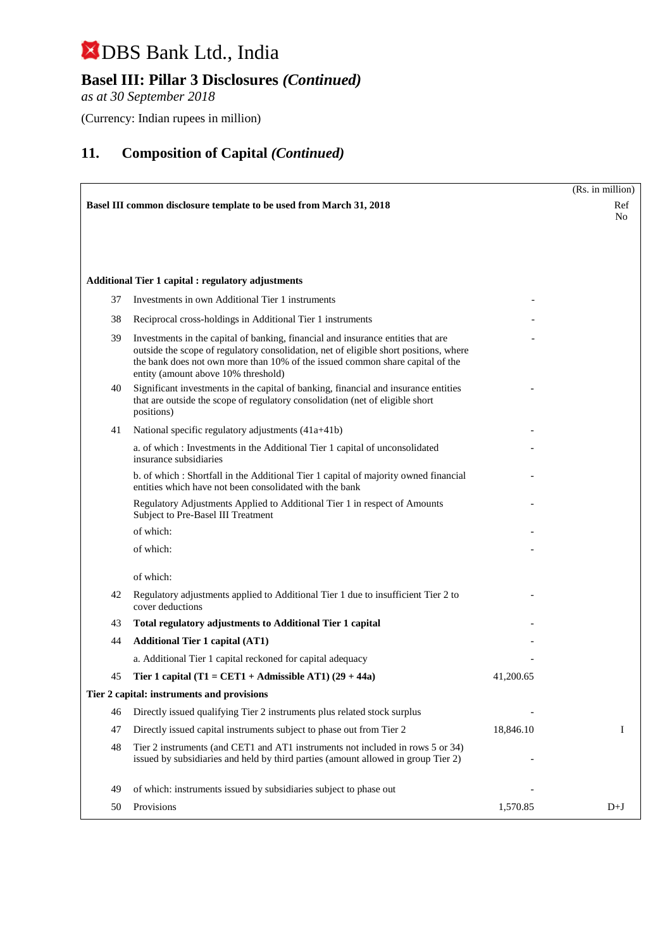## **Basel III: Pillar 3 Disclosures** *(Continued)*

*as at 30 September 2018*

(Currency: Indian rupees in million)

|    |                                                                                                                                                                                                                                                                                                   |           | (Rs. in million) |
|----|---------------------------------------------------------------------------------------------------------------------------------------------------------------------------------------------------------------------------------------------------------------------------------------------------|-----------|------------------|
|    | Basel III common disclosure template to be used from March 31, 2018                                                                                                                                                                                                                               |           | Ref<br>No        |
|    |                                                                                                                                                                                                                                                                                                   |           |                  |
|    | <b>Additional Tier 1 capital : regulatory adjustments</b>                                                                                                                                                                                                                                         |           |                  |
| 37 | Investments in own Additional Tier 1 instruments                                                                                                                                                                                                                                                  |           |                  |
| 38 | Reciprocal cross-holdings in Additional Tier 1 instruments                                                                                                                                                                                                                                        |           |                  |
| 39 | Investments in the capital of banking, financial and insurance entities that are<br>outside the scope of regulatory consolidation, net of eligible short positions, where<br>the bank does not own more than 10% of the issued common share capital of the<br>entity (amount above 10% threshold) |           |                  |
| 40 | Significant investments in the capital of banking, financial and insurance entities<br>that are outside the scope of regulatory consolidation (net of eligible short<br>positions)                                                                                                                |           |                  |
| 41 | National specific regulatory adjustments (41a+41b)                                                                                                                                                                                                                                                |           |                  |
|    | a. of which: Investments in the Additional Tier 1 capital of unconsolidated<br>insurance subsidiaries                                                                                                                                                                                             |           |                  |
|    | b. of which: Shortfall in the Additional Tier 1 capital of majority owned financial<br>entities which have not been consolidated with the bank                                                                                                                                                    |           |                  |
|    | Regulatory Adjustments Applied to Additional Tier 1 in respect of Amounts<br>Subject to Pre-Basel III Treatment                                                                                                                                                                                   |           |                  |
|    | of which:                                                                                                                                                                                                                                                                                         |           |                  |
|    | of which:                                                                                                                                                                                                                                                                                         |           |                  |
|    | of which:                                                                                                                                                                                                                                                                                         |           |                  |
| 42 | Regulatory adjustments applied to Additional Tier 1 due to insufficient Tier 2 to<br>cover deductions                                                                                                                                                                                             |           |                  |
| 43 | Total regulatory adjustments to Additional Tier 1 capital                                                                                                                                                                                                                                         |           |                  |
| 44 | <b>Additional Tier 1 capital (AT1)</b>                                                                                                                                                                                                                                                            |           |                  |
|    | a. Additional Tier 1 capital reckoned for capital adequacy                                                                                                                                                                                                                                        |           |                  |
| 45 | Tier 1 capital (T1 = CET1 + Admissible AT1) $(29 + 44a)$                                                                                                                                                                                                                                          | 41,200.65 |                  |
|    | Tier 2 capital: instruments and provisions                                                                                                                                                                                                                                                        |           |                  |
| 46 | Directly issued qualifying Tier 2 instruments plus related stock surplus                                                                                                                                                                                                                          |           |                  |
| 47 | Directly issued capital instruments subject to phase out from Tier 2                                                                                                                                                                                                                              | 18,846.10 | Ι                |
| 48 | Tier 2 instruments (and CET1 and AT1 instruments not included in rows 5 or 34)<br>issued by subsidiaries and held by third parties (amount allowed in group Tier 2)                                                                                                                               |           |                  |
| 49 | of which: instruments issued by subsidiaries subject to phase out                                                                                                                                                                                                                                 |           |                  |
| 50 | Provisions                                                                                                                                                                                                                                                                                        | 1,570.85  | $D+J$            |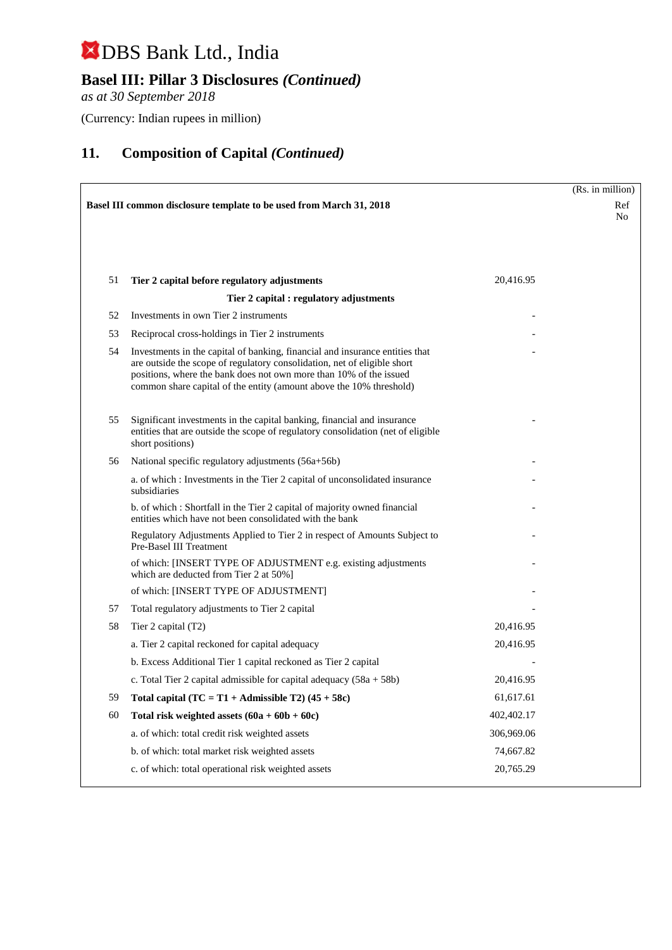## **Basel III: Pillar 3 Disclosures** *(Continued)*

*as at 30 September 2018*

(Currency: Indian rupees in million)

|    |                                                                                                                                                                                                                                                                                                       |            | (Rs. in million) |
|----|-------------------------------------------------------------------------------------------------------------------------------------------------------------------------------------------------------------------------------------------------------------------------------------------------------|------------|------------------|
|    | Basel III common disclosure template to be used from March 31, 2018                                                                                                                                                                                                                                   |            | Ref              |
|    |                                                                                                                                                                                                                                                                                                       |            | N <sub>0</sub>   |
|    |                                                                                                                                                                                                                                                                                                       |            |                  |
|    |                                                                                                                                                                                                                                                                                                       |            |                  |
| 51 | Tier 2 capital before regulatory adjustments                                                                                                                                                                                                                                                          | 20,416.95  |                  |
|    | Tier 2 capital : regulatory adjustments                                                                                                                                                                                                                                                               |            |                  |
| 52 | Investments in own Tier 2 instruments                                                                                                                                                                                                                                                                 |            |                  |
| 53 | Reciprocal cross-holdings in Tier 2 instruments                                                                                                                                                                                                                                                       |            |                  |
| 54 | Investments in the capital of banking, financial and insurance entities that<br>are outside the scope of regulatory consolidation, net of eligible short<br>positions, where the bank does not own more than 10% of the issued<br>common share capital of the entity (amount above the 10% threshold) |            |                  |
| 55 | Significant investments in the capital banking, financial and insurance<br>entities that are outside the scope of regulatory consolidation (net of eligible<br>short positions)                                                                                                                       |            |                  |
| 56 | National specific regulatory adjustments (56a+56b)                                                                                                                                                                                                                                                    |            |                  |
|    | a. of which : Investments in the Tier 2 capital of unconsolidated insurance<br>subsidiaries                                                                                                                                                                                                           |            |                  |
|    | b. of which: Shortfall in the Tier 2 capital of majority owned financial<br>entities which have not been consolidated with the bank                                                                                                                                                                   |            |                  |
|    | Regulatory Adjustments Applied to Tier 2 in respect of Amounts Subject to<br>Pre-Basel III Treatment                                                                                                                                                                                                  |            |                  |
|    | of which: [INSERT TYPE OF ADJUSTMENT e.g. existing adjustments<br>which are deducted from Tier 2 at 50%]                                                                                                                                                                                              |            |                  |
|    | of which: [INSERT TYPE OF ADJUSTMENT]                                                                                                                                                                                                                                                                 |            |                  |
| 57 | Total regulatory adjustments to Tier 2 capital                                                                                                                                                                                                                                                        |            |                  |
| 58 | Tier 2 capital (T2)                                                                                                                                                                                                                                                                                   | 20,416.95  |                  |
|    | a. Tier 2 capital reckoned for capital adequacy                                                                                                                                                                                                                                                       | 20,416.95  |                  |
|    | b. Excess Additional Tier 1 capital reckoned as Tier 2 capital                                                                                                                                                                                                                                        |            |                  |
|    | c. Total Tier 2 capital admissible for capital adequacy $(58a + 58b)$                                                                                                                                                                                                                                 | 20,416.95  |                  |
| 59 | Total capital $(TC = T1 + \text{Admissible } T2)$ (45 + 58c)                                                                                                                                                                                                                                          | 61,617.61  |                  |
| 60 | Total risk weighted assets $(60a + 60b + 60c)$                                                                                                                                                                                                                                                        | 402,402.17 |                  |
|    | a. of which: total credit risk weighted assets                                                                                                                                                                                                                                                        | 306,969.06 |                  |
|    | b. of which: total market risk weighted assets                                                                                                                                                                                                                                                        | 74,667.82  |                  |
|    | c. of which: total operational risk weighted assets                                                                                                                                                                                                                                                   | 20,765.29  |                  |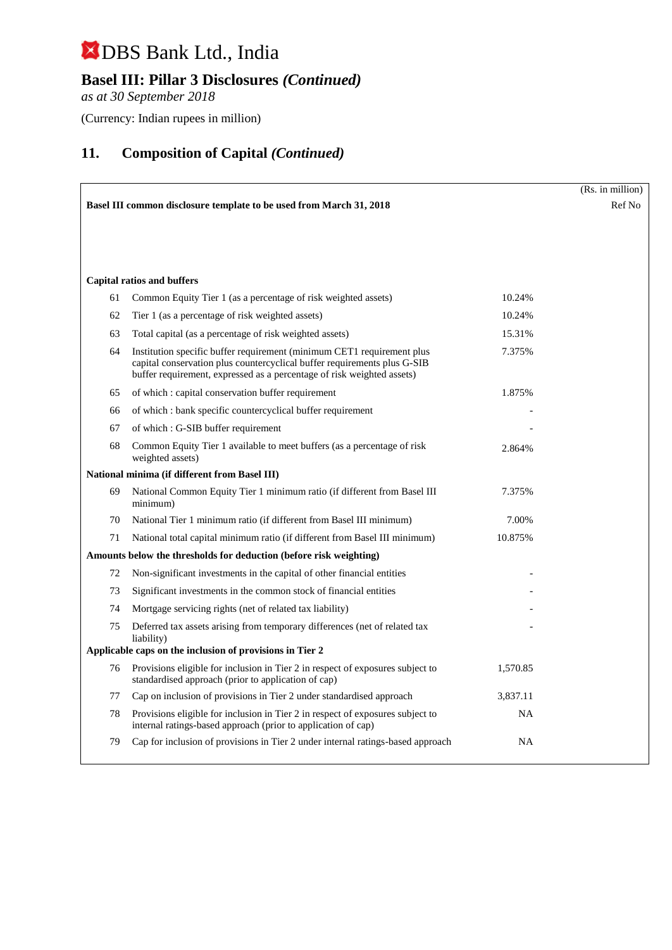## **Basel III: Pillar 3 Disclosures** *(Continued)*

*as at 30 September 2018*

(Currency: Indian rupees in million)

|    |                                                                                                                                                                                                                              |           | (Rs. in million) |
|----|------------------------------------------------------------------------------------------------------------------------------------------------------------------------------------------------------------------------------|-----------|------------------|
|    | <b>Basel III common disclosure template to be used from March 31, 2018</b>                                                                                                                                                   |           | Ref No           |
|    |                                                                                                                                                                                                                              |           |                  |
|    |                                                                                                                                                                                                                              |           |                  |
|    |                                                                                                                                                                                                                              |           |                  |
|    | <b>Capital ratios and buffers</b>                                                                                                                                                                                            |           |                  |
| 61 | Common Equity Tier 1 (as a percentage of risk weighted assets)                                                                                                                                                               | 10.24%    |                  |
| 62 | Tier 1 (as a percentage of risk weighted assets)                                                                                                                                                                             | 10.24%    |                  |
| 63 | Total capital (as a percentage of risk weighted assets)                                                                                                                                                                      | 15.31%    |                  |
| 64 | Institution specific buffer requirement (minimum CET1 requirement plus<br>capital conservation plus countercyclical buffer requirements plus G-SIB<br>buffer requirement, expressed as a percentage of risk weighted assets) | 7.375%    |                  |
| 65 | of which: capital conservation buffer requirement                                                                                                                                                                            | 1.875%    |                  |
| 66 | of which : bank specific countercyclical buffer requirement                                                                                                                                                                  |           |                  |
| 67 | of which: G-SIB buffer requirement                                                                                                                                                                                           |           |                  |
| 68 | Common Equity Tier 1 available to meet buffers (as a percentage of risk<br>weighted assets)                                                                                                                                  | 2.864%    |                  |
|    | National minima (if different from Basel III)                                                                                                                                                                                |           |                  |
| 69 | National Common Equity Tier 1 minimum ratio (if different from Basel III<br>minimum)                                                                                                                                         | 7.375%    |                  |
| 70 | National Tier 1 minimum ratio (if different from Basel III minimum)                                                                                                                                                          | 7.00%     |                  |
| 71 | National total capital minimum ratio (if different from Basel III minimum)                                                                                                                                                   | 10.875%   |                  |
|    | Amounts below the thresholds for deduction (before risk weighting)                                                                                                                                                           |           |                  |
| 72 | Non-significant investments in the capital of other financial entities                                                                                                                                                       |           |                  |
| 73 | Significant investments in the common stock of financial entities                                                                                                                                                            |           |                  |
| 74 | Mortgage servicing rights (net of related tax liability)                                                                                                                                                                     |           |                  |
| 75 | Deferred tax assets arising from temporary differences (net of related tax<br>liability)                                                                                                                                     |           |                  |
|    | Applicable caps on the inclusion of provisions in Tier 2                                                                                                                                                                     |           |                  |
| 76 | Provisions eligible for inclusion in Tier 2 in respect of exposures subject to<br>standardised approach (prior to application of cap)                                                                                        | 1,570.85  |                  |
| 77 | Cap on inclusion of provisions in Tier 2 under standardised approach                                                                                                                                                         | 3,837.11  |                  |
| 78 | Provisions eligible for inclusion in Tier 2 in respect of exposures subject to<br>internal ratings-based approach (prior to application of cap)                                                                              | <b>NA</b> |                  |
| 79 | Cap for inclusion of provisions in Tier 2 under internal ratings-based approach                                                                                                                                              | NA        |                  |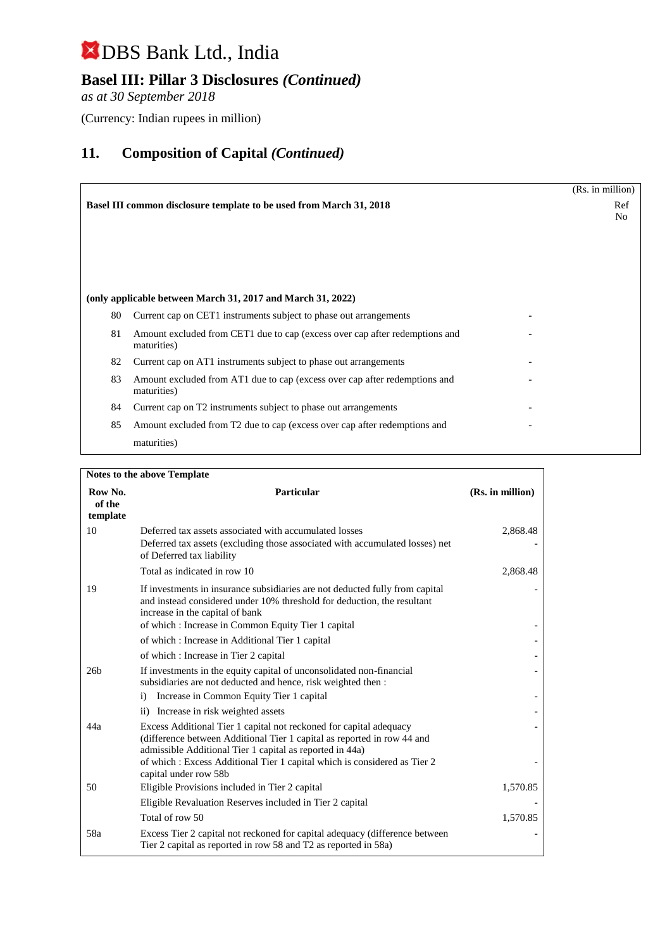## **Basel III: Pillar 3 Disclosures** *(Continued)*

*as at 30 September 2018*

(Currency: Indian rupees in million)

|    |                                                                                            | (Rs. in million) |
|----|--------------------------------------------------------------------------------------------|------------------|
|    | <b>Basel III common disclosure template to be used from March 31, 2018</b>                 | Ref<br>No        |
|    |                                                                                            |                  |
|    |                                                                                            |                  |
|    | (only applicable between March 31, 2017 and March 31, 2022)                                |                  |
| 80 | Current cap on CET1 instruments subject to phase out arrangements                          |                  |
| 81 | Amount excluded from CET1 due to cap (excess over cap after redemptions and<br>maturities) |                  |
| 82 | Current cap on AT1 instruments subject to phase out arrangements                           |                  |
| 83 | Amount excluded from AT1 due to cap (excess over cap after redemptions and<br>maturities)  |                  |
| 84 | Current cap on T2 instruments subject to phase out arrangements                            |                  |
| 85 | Amount excluded from T2 due to cap (excess over cap after redemptions and                  |                  |
|    | maturities)                                                                                |                  |

| <b>Notes to the above Template</b> |                                                                                                                                                                                                                                                  |                  |  |
|------------------------------------|--------------------------------------------------------------------------------------------------------------------------------------------------------------------------------------------------------------------------------------------------|------------------|--|
| Row No.<br>of the<br>template      | <b>Particular</b>                                                                                                                                                                                                                                | (Rs. in million) |  |
| 10                                 | Deferred tax assets associated with accumulated losses<br>Deferred tax assets (excluding those associated with accumulated losses) net<br>of Deferred tax liability                                                                              | 2,868.48         |  |
|                                    | Total as indicated in row 10                                                                                                                                                                                                                     | 2,868.48         |  |
| 19                                 | If investments in insurance subsidiaries are not deducted fully from capital<br>and instead considered under 10% threshold for deduction, the resultant<br>increase in the capital of bank<br>of which: Increase in Common Equity Tier 1 capital |                  |  |
|                                    | of which: Increase in Additional Tier 1 capital                                                                                                                                                                                                  |                  |  |
|                                    | of which: Increase in Tier 2 capital                                                                                                                                                                                                             |                  |  |
| 26 <sub>b</sub>                    | If investments in the equity capital of unconsolidated non-financial<br>subsidiaries are not deducted and hence, risk weighted then :                                                                                                            |                  |  |
|                                    | Increase in Common Equity Tier 1 capital<br>$\mathbf{i}$                                                                                                                                                                                         |                  |  |
|                                    | ii) Increase in risk weighted assets                                                                                                                                                                                                             |                  |  |
| 44a                                | Excess Additional Tier 1 capital not reckoned for capital adequacy<br>(difference between Additional Tier 1 capital as reported in row 44 and<br>admissible Additional Tier 1 capital as reported in 44a)                                        |                  |  |
|                                    | of which : Excess Additional Tier 1 capital which is considered as Tier 2<br>capital under row 58b                                                                                                                                               |                  |  |
| 50                                 | Eligible Provisions included in Tier 2 capital                                                                                                                                                                                                   | 1,570.85         |  |
|                                    | Eligible Revaluation Reserves included in Tier 2 capital                                                                                                                                                                                         |                  |  |
|                                    | Total of row 50                                                                                                                                                                                                                                  | 1,570.85         |  |
| 58a                                | Excess Tier 2 capital not reckoned for capital adequacy (difference between<br>Tier 2 capital as reported in row 58 and T2 as reported in 58a)                                                                                                   |                  |  |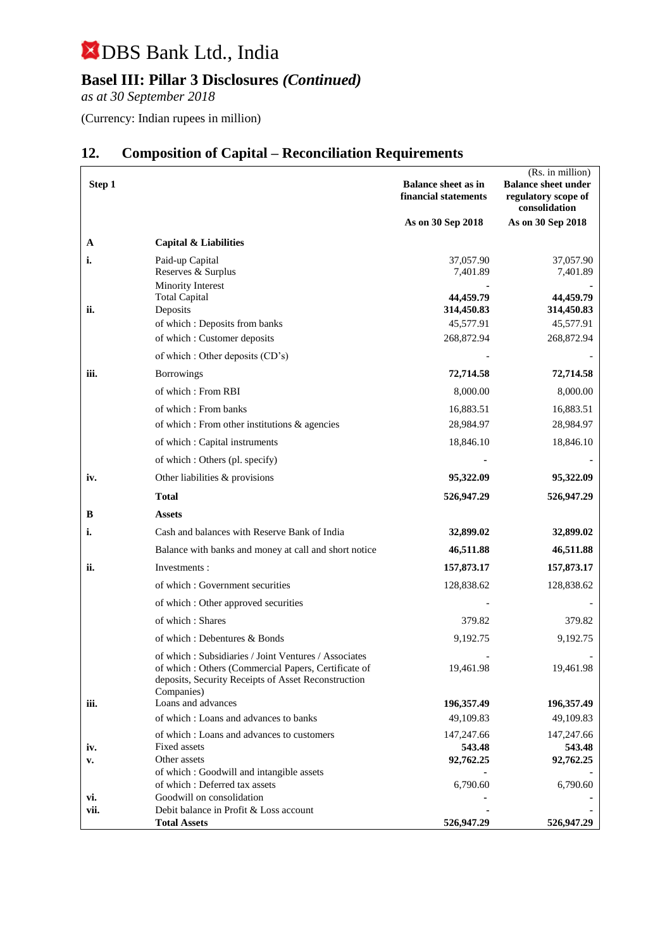## **Basel III: Pillar 3 Disclosures** *(Continued)*

*as at 30 September 2018*

(Currency: Indian rupees in million)

|        |                                                                                                            |                                                    | (Rs. in million)                                                   |
|--------|------------------------------------------------------------------------------------------------------------|----------------------------------------------------|--------------------------------------------------------------------|
| Step 1 |                                                                                                            | <b>Balance sheet as in</b><br>financial statements | <b>Balance sheet under</b><br>regulatory scope of<br>consolidation |
|        |                                                                                                            | As on 30 Sep 2018                                  | As on 30 Sep 2018                                                  |
| A      | Capital & Liabilities                                                                                      |                                                    |                                                                    |
| i.     | Paid-up Capital                                                                                            | 37,057.90                                          | 37,057.90                                                          |
|        | Reserves & Surplus                                                                                         | 7,401.89                                           | 7,401.89                                                           |
|        | Minority Interest                                                                                          |                                                    |                                                                    |
| ii.    | <b>Total Capital</b><br>Deposits                                                                           | 44,459.79<br>314,450.83                            | 44,459.79<br>314,450.83                                            |
|        | of which : Deposits from banks                                                                             | 45,577.91                                          | 45,577.91                                                          |
|        | of which: Customer deposits                                                                                | 268,872.94                                         | 268,872.94                                                         |
|        | of which : Other deposits (CD's)                                                                           |                                                    |                                                                    |
| iii.   | <b>Borrowings</b>                                                                                          | 72,714.58                                          | 72,714.58                                                          |
|        | of which: From RBI                                                                                         | 8,000.00                                           | 8,000.00                                                           |
|        | of which: From banks                                                                                       | 16,883.51                                          | 16,883.51                                                          |
|        | of which: From other institutions & agencies                                                               | 28,984.97                                          | 28,984.97                                                          |
|        | of which : Capital instruments                                                                             | 18,846.10                                          | 18,846.10                                                          |
|        | of which : Others (pl. specify)                                                                            |                                                    |                                                                    |
| iv.    | Other liabilities & provisions                                                                             | 95,322.09                                          | 95,322.09                                                          |
|        | <b>Total</b>                                                                                               | 526,947.29                                         | 526,947.29                                                         |
| в      | <b>Assets</b>                                                                                              |                                                    |                                                                    |
| i.     | Cash and balances with Reserve Bank of India                                                               | 32,899.02                                          | 32,899.02                                                          |
|        | Balance with banks and money at call and short notice                                                      | 46,511.88                                          | 46,511.88                                                          |
| ii.    | Investments:                                                                                               | 157,873.17                                         | 157,873.17                                                         |
|        | of which: Government securities                                                                            | 128,838.62                                         | 128,838.62                                                         |
|        | of which : Other approved securities                                                                       |                                                    |                                                                    |
|        | of which: Shares                                                                                           | 379.82                                             | 379.82                                                             |
|        | of which: Debentures & Bonds                                                                               | 9,192.75                                           | 9,192.75                                                           |
|        | of which: Subsidiaries / Joint Ventures / Associates                                                       |                                                    |                                                                    |
|        | of which: Others (Commercial Papers, Certificate of<br>deposits, Security Receipts of Asset Reconstruction | 19,461.98                                          | 19,461.98                                                          |
| iii.   | Companies)<br>Loans and advances                                                                           | 196,357.49                                         | 196,357.49                                                         |
|        | of which: Loans and advances to banks                                                                      | 49,109.83                                          | 49,109.83                                                          |
|        | of which: Loans and advances to customers                                                                  | 147,247.66                                         | 147,247.66                                                         |
| iv.    | Fixed assets                                                                                               | 543.48                                             | 543.48                                                             |
| v.     | Other assets<br>of which: Goodwill and intangible assets                                                   | 92,762.25                                          | 92,762.25                                                          |
|        | of which: Deferred tax assets                                                                              | 6,790.60                                           | 6,790.60                                                           |
| vi.    | Goodwill on consolidation                                                                                  |                                                    |                                                                    |
| vii.   | Debit balance in Profit & Loss account                                                                     |                                                    |                                                                    |
|        | <b>Total Assets</b>                                                                                        | 526,947.29                                         | 526,947.29                                                         |

## **12. Composition of Capital – Reconciliation Requirements**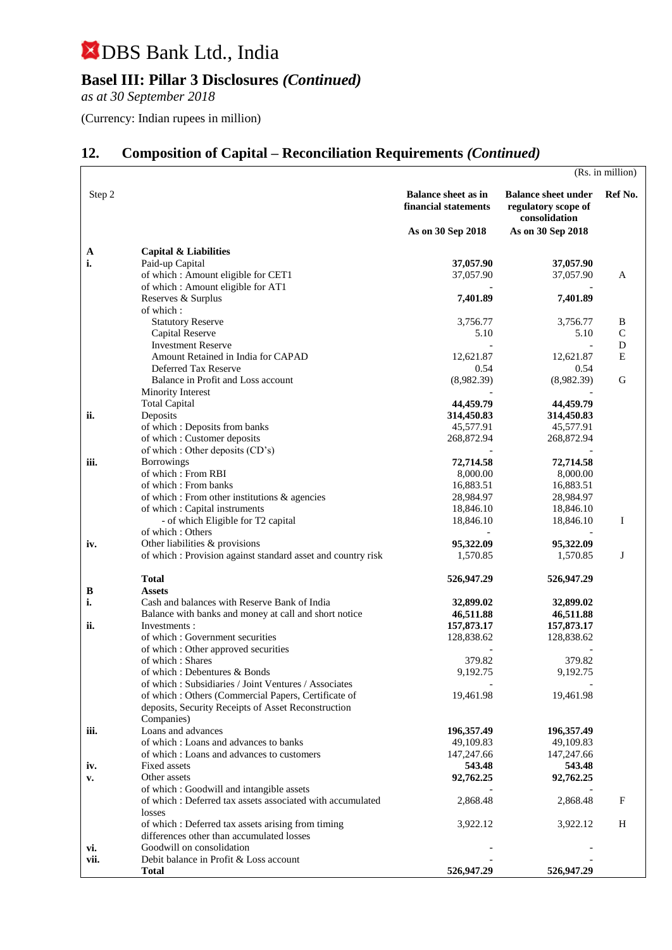## **Basel III: Pillar 3 Disclosures** *(Continued)*

*as at 30 September 2018*

(Currency: Indian rupees in million)

## **12. Composition of Capital – Reconciliation Requirements** *(Continued)*

|        |                                                             |                                                                         |                                                                                         | (Rs. in million) |
|--------|-------------------------------------------------------------|-------------------------------------------------------------------------|-----------------------------------------------------------------------------------------|------------------|
| Step 2 |                                                             | <b>Balance sheet as in</b><br>financial statements<br>As on 30 Sep 2018 | <b>Balance sheet under</b><br>regulatory scope of<br>consolidation<br>As on 30 Sep 2018 | Ref No.          |
|        |                                                             |                                                                         |                                                                                         |                  |
| A      | Capital & Liabilities                                       |                                                                         |                                                                                         |                  |
| i.     | Paid-up Capital                                             | 37,057.90                                                               | 37,057.90                                                                               |                  |
|        | of which: Amount eligible for CET1                          | 37,057.90                                                               | 37,057.90                                                                               | A                |
|        | of which: Amount eligible for AT1                           |                                                                         |                                                                                         |                  |
|        | Reserves & Surplus<br>of which:                             | 7,401.89                                                                | 7,401.89                                                                                |                  |
|        | <b>Statutory Reserve</b>                                    | 3,756.77                                                                | 3,756.77                                                                                | B                |
|        | Capital Reserve                                             | 5.10                                                                    | 5.10                                                                                    | $\mathbf C$      |
|        | <b>Investment Reserve</b>                                   |                                                                         |                                                                                         | D                |
|        | Amount Retained in India for CAPAD                          | 12,621.87                                                               | 12,621.87                                                                               | $\mathbf E$      |
|        | Deferred Tax Reserve                                        | 0.54                                                                    | 0.54                                                                                    |                  |
|        | Balance in Profit and Loss account                          | (8,982.39)                                                              | (8,982.39)                                                                              | G                |
|        | Minority Interest                                           |                                                                         |                                                                                         |                  |
|        | <b>Total Capital</b>                                        | 44,459.79                                                               | 44,459.79                                                                               |                  |
| ii.    | Deposits<br>of which: Deposits from banks                   | 314,450.83<br>45,577.91                                                 | 314,450.83                                                                              |                  |
|        | of which: Customer deposits                                 | 268,872.94                                                              | 45,577.91<br>268,872.94                                                                 |                  |
|        | of which : Other deposits (CD's)                            |                                                                         |                                                                                         |                  |
| iii.   | <b>Borrowings</b>                                           | 72,714.58                                                               | 72,714.58                                                                               |                  |
|        | of which: From RBI                                          | 8,000.00                                                                | 8,000.00                                                                                |                  |
|        | of which: From banks                                        | 16,883.51                                                               | 16,883.51                                                                               |                  |
|        | of which : From other institutions & agencies               | 28,984.97                                                               | 28,984.97                                                                               |                  |
|        | of which : Capital instruments                              | 18,846.10                                                               | 18,846.10                                                                               |                  |
|        | - of which Eligible for T2 capital                          | 18,846.10                                                               | 18,846.10                                                                               | I                |
|        | of which: Others                                            |                                                                         |                                                                                         |                  |
| iv.    | Other liabilities & provisions                              | 95,322.09                                                               | 95,322.09                                                                               |                  |
|        | of which: Provision against standard asset and country risk | 1,570.85                                                                | 1,570.85                                                                                | J                |
|        | <b>Total</b>                                                | 526,947.29                                                              | 526,947.29                                                                              |                  |
| B      | <b>Assets</b>                                               |                                                                         |                                                                                         |                  |
| i.     | Cash and balances with Reserve Bank of India                | 32,899.02                                                               | 32,899.02                                                                               |                  |
|        | Balance with banks and money at call and short notice       | 46,511.88                                                               | 46,511.88                                                                               |                  |
| ii.    | Investments:                                                | 157,873.17                                                              | 157,873.17                                                                              |                  |
|        | of which: Government securities                             | 128,838.62                                                              | 128,838.62                                                                              |                  |
|        | of which : Other approved securities                        |                                                                         |                                                                                         |                  |
|        | of which: Shares<br>of which : Debentures & Bonds           | 379.82<br>9,192.75                                                      | 379.82<br>9,192.75                                                                      |                  |
|        | of which: Subsidiaries / Joint Ventures / Associates        |                                                                         |                                                                                         |                  |
|        | of which : Others (Commercial Papers, Certificate of        | 19,461.98                                                               | 19,461.98                                                                               |                  |
|        | deposits, Security Receipts of Asset Reconstruction         |                                                                         |                                                                                         |                  |
|        | Companies)                                                  |                                                                         |                                                                                         |                  |
| iii.   | Loans and advances                                          | 196,357.49                                                              | 196,357.49                                                                              |                  |
|        | of which: Loans and advances to banks                       | 49,109.83                                                               | 49,109.83                                                                               |                  |
|        | of which: Loans and advances to customers                   | 147,247.66                                                              | 147,247.66                                                                              |                  |
| iv.    | Fixed assets                                                | 543.48                                                                  | 543.48                                                                                  |                  |
| v.     | Other assets<br>of which: Goodwill and intangible assets    | 92,762.25                                                               | 92,762.25                                                                               |                  |
|        | of which: Deferred tax assets associated with accumulated   | 2,868.48                                                                | 2,868.48                                                                                | $\mathbf F$      |
|        | losses                                                      |                                                                         |                                                                                         |                  |
|        | of which: Deferred tax assets arising from timing           | 3,922.12                                                                | 3,922.12                                                                                | H                |
|        | differences other than accumulated losses                   |                                                                         |                                                                                         |                  |
| vi.    | Goodwill on consolidation                                   |                                                                         |                                                                                         |                  |
| vii.   | Debit balance in Profit & Loss account                      |                                                                         |                                                                                         |                  |
|        | Total                                                       | 526,947.29                                                              | 526,947.29                                                                              |                  |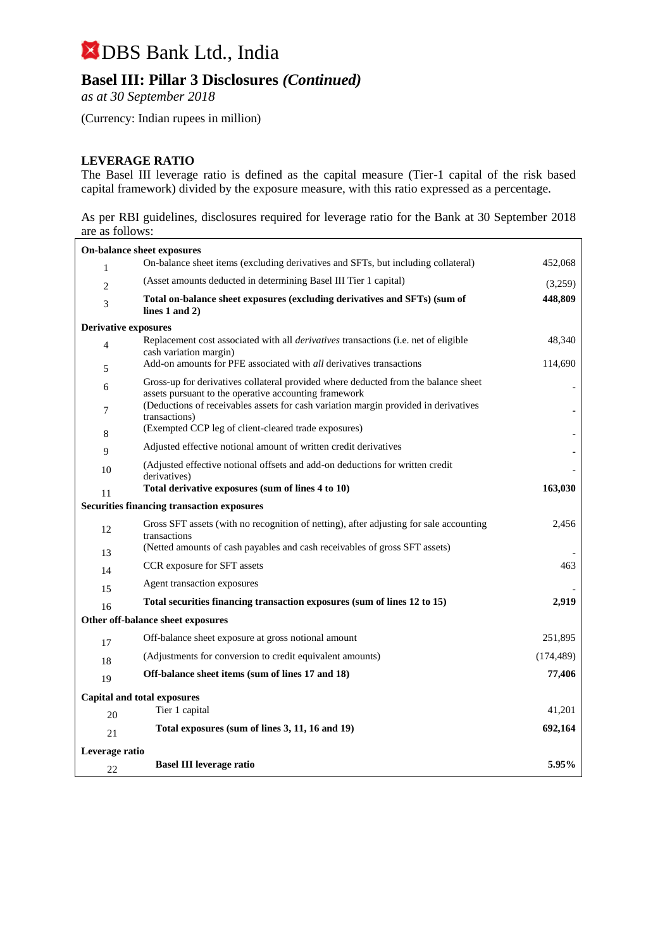## **Basel III: Pillar 3 Disclosures** *(Continued)*

*as at 30 September 2018*

(Currency: Indian rupees in million)

### **LEVERAGE RATIO**

The Basel III leverage ratio is defined as the capital measure (Tier-1 capital of the risk based capital framework) divided by the exposure measure, with this ratio expressed as a percentage.

As per RBI guidelines, disclosures required for leverage ratio for the Bank at 30 September 2018 are as follows:

|                                                   | On-balance sheet exposures                                                                                                                  |            |  |
|---------------------------------------------------|---------------------------------------------------------------------------------------------------------------------------------------------|------------|--|
| $\mathbf{1}$                                      | On-balance sheet items (excluding derivatives and SFTs, but including collateral)                                                           | 452,068    |  |
| $\overline{c}$                                    | (Asset amounts deducted in determining Basel III Tier 1 capital)                                                                            | (3,259)    |  |
| 3                                                 | Total on-balance sheet exposures (excluding derivatives and SFTs) (sum of<br>lines $1$ and $2)$                                             | 448,809    |  |
| <b>Derivative exposures</b>                       |                                                                                                                                             |            |  |
| $\overline{4}$                                    | Replacement cost associated with all <i>derivatives</i> transactions (i.e. net of eligible<br>cash variation margin)                        | 48,340     |  |
| 5                                                 | Add-on amounts for PFE associated with <i>all</i> derivatives transactions                                                                  | 114,690    |  |
| 6                                                 | Gross-up for derivatives collateral provided where deducted from the balance sheet<br>assets pursuant to the operative accounting framework |            |  |
| 7                                                 | (Deductions of receivables assets for cash variation margin provided in derivatives<br>transactions)                                        |            |  |
| 8                                                 | (Exempted CCP leg of client-cleared trade exposures)                                                                                        |            |  |
| 9                                                 | Adjusted effective notional amount of written credit derivatives                                                                            |            |  |
| 10                                                | (Adjusted effective notional offsets and add-on deductions for written credit<br>derivatives)                                               |            |  |
| 11                                                | Total derivative exposures (sum of lines 4 to 10)                                                                                           | 163,030    |  |
| <b>Securities financing transaction exposures</b> |                                                                                                                                             |            |  |
| 12                                                | Gross SFT assets (with no recognition of netting), after adjusting for sale accounting<br>transactions                                      | 2,456      |  |
| 13                                                | (Netted amounts of cash payables and cash receivables of gross SFT assets)                                                                  |            |  |
| 14                                                | CCR exposure for SFT assets                                                                                                                 | 463        |  |
| 15                                                | Agent transaction exposures                                                                                                                 |            |  |
| 16                                                | Total securities financing transaction exposures (sum of lines 12 to 15)                                                                    | 2,919      |  |
| Other off-balance sheet exposures                 |                                                                                                                                             |            |  |
| 17                                                | Off-balance sheet exposure at gross notional amount                                                                                         | 251,895    |  |
| 18                                                | (Adjustments for conversion to credit equivalent amounts)                                                                                   | (174, 489) |  |
| 19                                                | Off-balance sheet items (sum of lines 17 and 18)                                                                                            | 77,406     |  |
|                                                   | <b>Capital and total exposures</b>                                                                                                          |            |  |
| 20                                                | Tier 1 capital                                                                                                                              | 41,201     |  |
| 21                                                | Total exposures (sum of lines 3, 11, 16 and 19)                                                                                             | 692,164    |  |
| Leverage ratio                                    |                                                                                                                                             |            |  |
| 22                                                | <b>Basel III leverage ratio</b>                                                                                                             | 5.95%      |  |